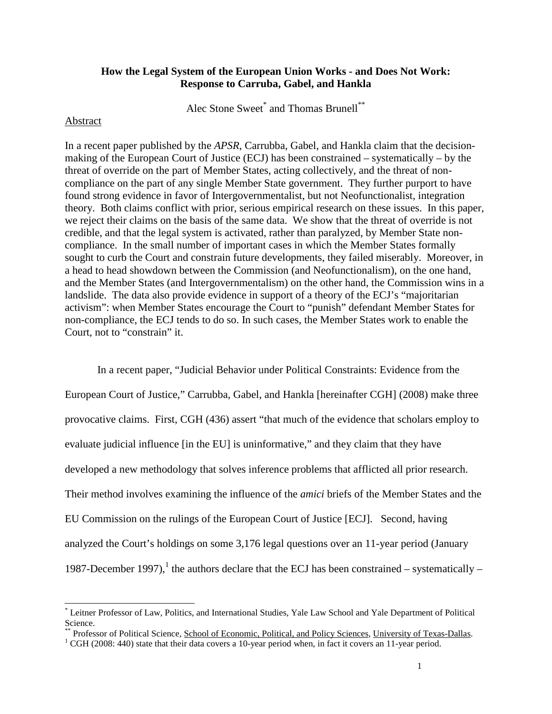## **How the Legal System of the European Union Works - and Does Not Work: Response to Carruba, Gabel, and Hankla**

Alec Stone Sweet\* and Thomas Brunell\*\*

#### Abstract

1

In a recent paper published by the *APSR*, Carrubba, Gabel, and Hankla claim that the decisionmaking of the European Court of Justice (ECJ) has been constrained – systematically – by the threat of override on the part of Member States, acting collectively, and the threat of noncompliance on the part of any single Member State government. They further purport to have found strong evidence in favor of Intergovernmentalist, but not Neofunctionalist, integration theory. Both claims conflict with prior, serious empirical research on these issues. In this paper, we reject their claims on the basis of the same data. We show that the threat of override is not credible, and that the legal system is activated, rather than paralyzed, by Member State noncompliance. In the small number of important cases in which the Member States formally sought to curb the Court and constrain future developments, they failed miserably. Moreover, in a head to head showdown between the Commission (and Neofunctionalism), on the one hand, and the Member States (and Intergovernmentalism) on the other hand, the Commission wins in a landslide. The data also provide evidence in support of a theory of the ECJ's "majoritarian activism": when Member States encourage the Court to "punish" defendant Member States for non-compliance, the ECJ tends to do so. In such cases, the Member States work to enable the Court, not to "constrain" it.

In a recent paper, "Judicial Behavior under Political Constraints: Evidence from the European Court of Justice," Carrubba, Gabel, and Hankla [hereinafter CGH] (2008) make three provocative claims. First, CGH (436) assert "that much of the evidence that scholars employ to evaluate judicial influence [in the EU] is uninformative," and they claim that they have developed a new methodology that solves inference problems that afflicted all prior research. Their method involves examining the influence of the *amici* briefs of the Member States and the EU Commission on the rulings of the European Court of Justice [ECJ]. Second, having analyzed the Court's holdings on some 3,176 legal questions over an 11-year period (January 1987-December 1997),<sup>1</sup> the authors declare that the ECJ has been constrained – systematically –

<sup>\*</sup> Leitner Professor of Law, Politics, and International Studies, Yale Law School and Yale Department of Political Science.

<sup>\*\*</sup> Professor of Political Science, School of Economic, Political, and Policy Sciences, University of Texas-Dallas.

<sup>&</sup>lt;sup>1</sup> CGH (2008: 440) state that their data covers a 10-year period when, in fact it covers an 11-year period.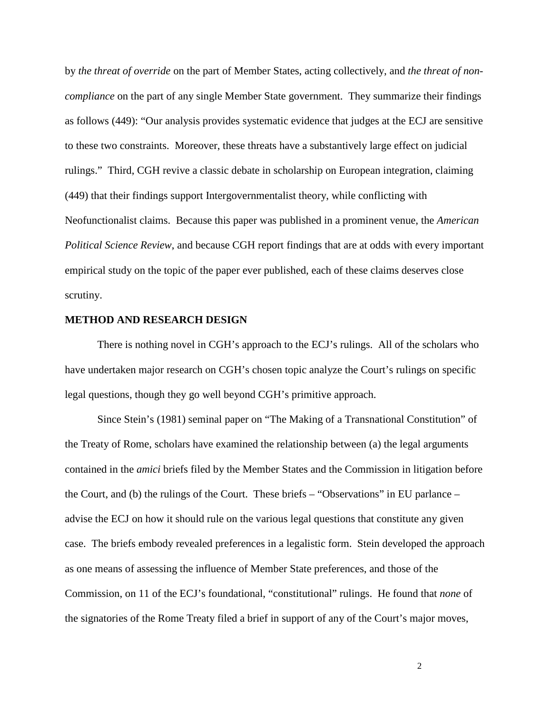by *the threat of override* on the part of Member States, acting collectively, and *the threat of noncompliance* on the part of any single Member State government. They summarize their findings as follows (449): "Our analysis provides systematic evidence that judges at the ECJ are sensitive to these two constraints. Moreover, these threats have a substantively large effect on judicial rulings." Third, CGH revive a classic debate in scholarship on European integration, claiming (449) that their findings support Intergovernmentalist theory, while conflicting with Neofunctionalist claims. Because this paper was published in a prominent venue, the *American Political Science Review*, and because CGH report findings that are at odds with every important empirical study on the topic of the paper ever published, each of these claims deserves close scrutiny.

### **METHOD AND RESEARCH DESIGN**

There is nothing novel in CGH's approach to the ECJ's rulings. All of the scholars who have undertaken major research on CGH's chosen topic analyze the Court's rulings on specific legal questions, though they go well beyond CGH's primitive approach.

Since Stein's (1981) seminal paper on "The Making of a Transnational Constitution" of the Treaty of Rome, scholars have examined the relationship between (a) the legal arguments contained in the *amici* briefs filed by the Member States and the Commission in litigation before the Court, and (b) the rulings of the Court. These briefs – "Observations" in EU parlance – advise the ECJ on how it should rule on the various legal questions that constitute any given case. The briefs embody revealed preferences in a legalistic form. Stein developed the approach as one means of assessing the influence of Member State preferences, and those of the Commission, on 11 of the ECJ's foundational, "constitutional" rulings. He found that *none* of the signatories of the Rome Treaty filed a brief in support of any of the Court's major moves,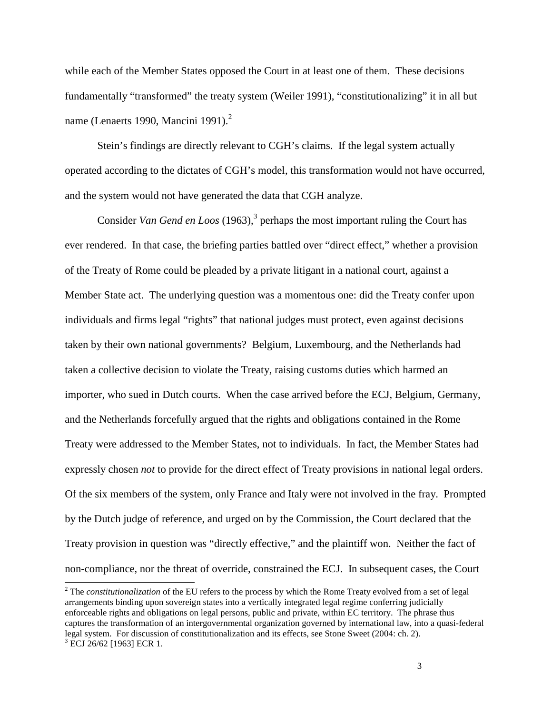while each of the Member States opposed the Court in at least one of them. These decisions fundamentally "transformed" the treaty system (Weiler 1991), "constitutionalizing" it in all but name (Lenaerts 1990, Mancini 1991).<sup>2</sup>

Stein's findings are directly relevant to CGH's claims. If the legal system actually operated according to the dictates of CGH's model, this transformation would not have occurred, and the system would not have generated the data that CGH analyze.

Consider *Van Gend en Loos* (1963),<sup>3</sup> perhaps the most important ruling the Court has ever rendered. In that case, the briefing parties battled over "direct effect," whether a provision of the Treaty of Rome could be pleaded by a private litigant in a national court, against a Member State act. The underlying question was a momentous one: did the Treaty confer upon individuals and firms legal "rights" that national judges must protect, even against decisions taken by their own national governments? Belgium, Luxembourg, and the Netherlands had taken a collective decision to violate the Treaty, raising customs duties which harmed an importer, who sued in Dutch courts. When the case arrived before the ECJ, Belgium, Germany, and the Netherlands forcefully argued that the rights and obligations contained in the Rome Treaty were addressed to the Member States, not to individuals. In fact, the Member States had expressly chosen *not* to provide for the direct effect of Treaty provisions in national legal orders. Of the six members of the system, only France and Italy were not involved in the fray. Prompted by the Dutch judge of reference, and urged on by the Commission, the Court declared that the Treaty provision in question was "directly effective," and the plaintiff won. Neither the fact of non-compliance, nor the threat of override, constrained the ECJ. In subsequent cases, the Court

<sup>&</sup>lt;sup>2</sup> The *constitutionalization* of the EU refers to the process by which the Rome Treaty evolved from a set of legal arrangements binding upon sovereign states into a vertically integrated legal regime conferring judicially enforceable rights and obligations on legal persons, public and private, within EC territory. The phrase thus captures the transformation of an intergovernmental organization governed by international law, into a quasi-federal legal system. For discussion of constitutionalization and its effects, see Stone Sweet (2004: ch. 2). 3 ECJ 26/62 [1963] ECR 1.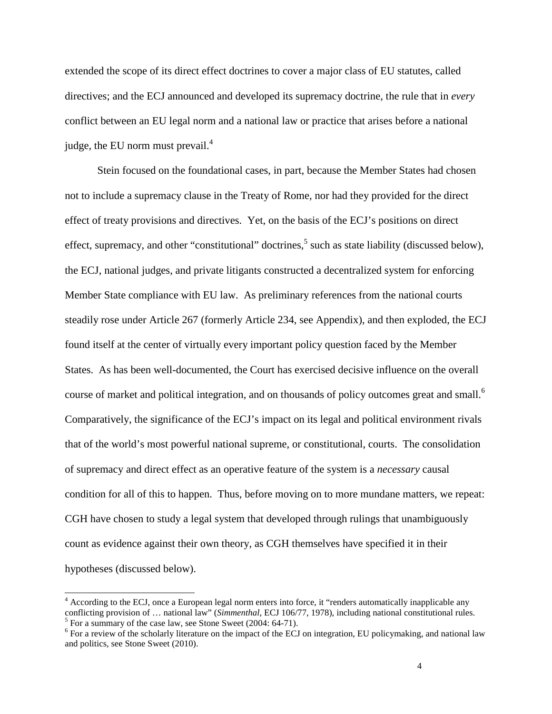extended the scope of its direct effect doctrines to cover a major class of EU statutes, called directives; and the ECJ announced and developed its supremacy doctrine, the rule that in *every* conflict between an EU legal norm and a national law or practice that arises before a national judge, the EU norm must prevail.<sup>4</sup>

Stein focused on the foundational cases, in part, because the Member States had chosen not to include a supremacy clause in the Treaty of Rome, nor had they provided for the direct effect of treaty provisions and directives. Yet, on the basis of the ECJ's positions on direct effect, supremacy, and other "constitutional" doctrines,<sup>5</sup> such as state liability (discussed below), the ECJ, national judges, and private litigants constructed a decentralized system for enforcing Member State compliance with EU law. As preliminary references from the national courts steadily rose under Article 267 (formerly Article 234, see Appendix), and then exploded, the ECJ found itself at the center of virtually every important policy question faced by the Member States. As has been well-documented, the Court has exercised decisive influence on the overall course of market and political integration, and on thousands of policy outcomes great and small.<sup>6</sup> Comparatively, the significance of the ECJ's impact on its legal and political environment rivals that of the world's most powerful national supreme, or constitutional, courts. The consolidation of supremacy and direct effect as an operative feature of the system is a *necessary* causal condition for all of this to happen. Thus, before moving on to more mundane matters, we repeat: CGH have chosen to study a legal system that developed through rulings that unambiguously count as evidence against their own theory, as CGH themselves have specified it in their hypotheses (discussed below).

<sup>&</sup>lt;sup>4</sup> According to the ECJ, once a European legal norm enters into force, it "renders automatically inapplicable any conflicting provision of … national law" (*Simmenthal*, ECJ 106/77, 1978), including national constitutional rules. <sup>5</sup> For a summary of the case law, see Stone Sweet (2004: 64-71).

 $6$  For a review of the scholarly literature on the impact of the ECJ on integration, EU policymaking, and national law and politics, see Stone Sweet (2010).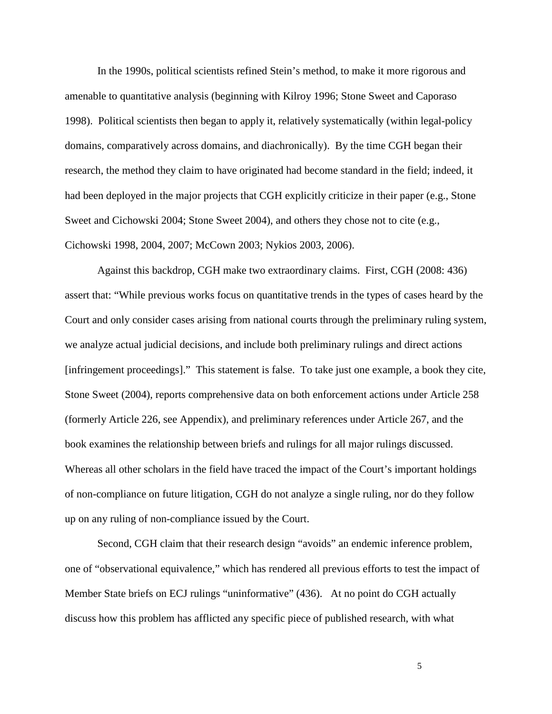In the 1990s, political scientists refined Stein's method, to make it more rigorous and amenable to quantitative analysis (beginning with Kilroy 1996; Stone Sweet and Caporaso 1998). Political scientists then began to apply it, relatively systematically (within legal-policy domains, comparatively across domains, and diachronically). By the time CGH began their research, the method they claim to have originated had become standard in the field; indeed, it had been deployed in the major projects that CGH explicitly criticize in their paper (e.g., Stone Sweet and Cichowski 2004; Stone Sweet 2004), and others they chose not to cite (e.g., Cichowski 1998, 2004, 2007; McCown 2003; Nykios 2003, 2006).

Against this backdrop, CGH make two extraordinary claims. First, CGH (2008: 436) assert that: "While previous works focus on quantitative trends in the types of cases heard by the Court and only consider cases arising from national courts through the preliminary ruling system, we analyze actual judicial decisions, and include both preliminary rulings and direct actions [infringement proceedings]." This statement is false. To take just one example, a book they cite, Stone Sweet (2004), reports comprehensive data on both enforcement actions under Article 258 (formerly Article 226, see Appendix), and preliminary references under Article 267, and the book examines the relationship between briefs and rulings for all major rulings discussed. Whereas all other scholars in the field have traced the impact of the Court's important holdings of non-compliance on future litigation, CGH do not analyze a single ruling, nor do they follow up on any ruling of non-compliance issued by the Court.

Second, CGH claim that their research design "avoids" an endemic inference problem, one of "observational equivalence," which has rendered all previous efforts to test the impact of Member State briefs on ECJ rulings "uninformative" (436). At no point do CGH actually discuss how this problem has afflicted any specific piece of published research, with what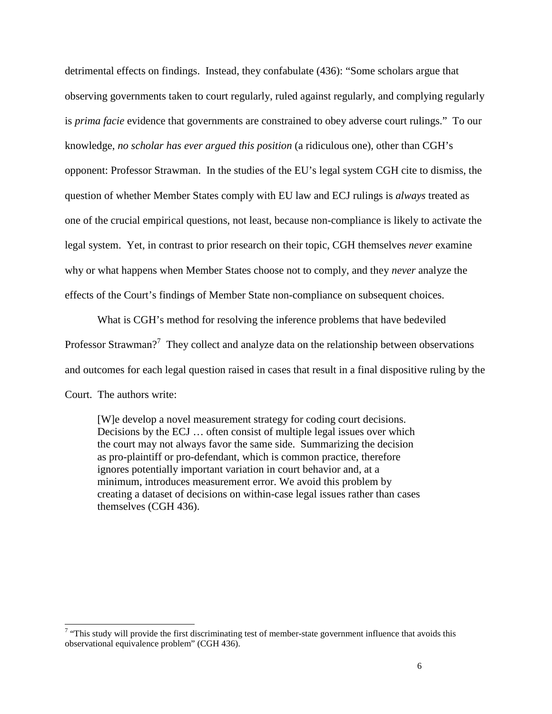detrimental effects on findings. Instead, they confabulate (436): "Some scholars argue that observing governments taken to court regularly, ruled against regularly, and complying regularly is *prima facie* evidence that governments are constrained to obey adverse court rulings." To our knowledge, *no scholar has ever argued this position* (a ridiculous one), other than CGH's opponent: Professor Strawman. In the studies of the EU's legal system CGH cite to dismiss, the question of whether Member States comply with EU law and ECJ rulings is *always* treated as one of the crucial empirical questions, not least, because non-compliance is likely to activate the legal system. Yet, in contrast to prior research on their topic, CGH themselves *never* examine why or what happens when Member States choose not to comply, and they *never* analyze the effects of the Court's findings of Member State non-compliance on subsequent choices.

What is CGH's method for resolving the inference problems that have bedeviled Professor Strawman?<sup>7</sup> They collect and analyze data on the relationship between observations and outcomes for each legal question raised in cases that result in a final dispositive ruling by the Court. The authors write:

[W]e develop a novel measurement strategy for coding court decisions. Decisions by the ECJ … often consist of multiple legal issues over which the court may not always favor the same side. Summarizing the decision as pro-plaintiff or pro-defendant, which is common practice, therefore ignores potentially important variation in court behavior and, at a minimum, introduces measurement error. We avoid this problem by creating a dataset of decisions on within-case legal issues rather than cases themselves (CGH 436).

<sup>&</sup>lt;sup>7</sup> "This study will provide the first discriminating test of member-state government influence that avoids this observational equivalence problem" (CGH 436).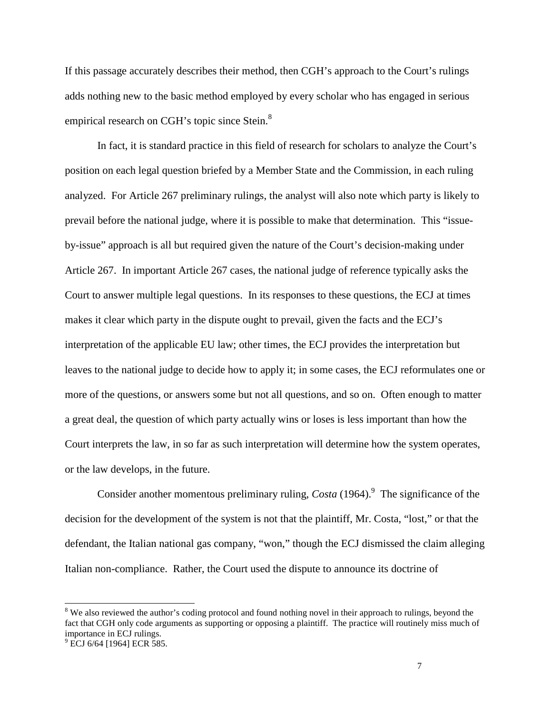If this passage accurately describes their method, then CGH's approach to the Court's rulings adds nothing new to the basic method employed by every scholar who has engaged in serious empirical research on CGH's topic since Stein.<sup>8</sup>

In fact, it is standard practice in this field of research for scholars to analyze the Court's position on each legal question briefed by a Member State and the Commission, in each ruling analyzed. For Article 267 preliminary rulings, the analyst will also note which party is likely to prevail before the national judge, where it is possible to make that determination. This "issueby-issue" approach is all but required given the nature of the Court's decision-making under Article 267. In important Article 267 cases, the national judge of reference typically asks the Court to answer multiple legal questions. In its responses to these questions, the ECJ at times makes it clear which party in the dispute ought to prevail, given the facts and the ECJ's interpretation of the applicable EU law; other times, the ECJ provides the interpretation but leaves to the national judge to decide how to apply it; in some cases, the ECJ reformulates one or more of the questions, or answers some but not all questions, and so on. Often enough to matter a great deal, the question of which party actually wins or loses is less important than how the Court interprets the law, in so far as such interpretation will determine how the system operates, or the law develops, in the future.

Consider another momentous preliminary ruling,  $Costa(1964)$ .<sup>9</sup> The significance of the decision for the development of the system is not that the plaintiff, Mr. Costa, "lost," or that the defendant, the Italian national gas company, "won," though the ECJ dismissed the claim alleging Italian non-compliance. Rather, the Court used the dispute to announce its doctrine of

<sup>&</sup>lt;sup>8</sup> We also reviewed the author's coding protocol and found nothing novel in their approach to rulings, beyond the fact that CGH only code arguments as supporting or opposing a plaintiff. The practice will routinely miss much of importance in ECJ rulings.

<sup>&</sup>lt;sup>9</sup> ECJ 6/64 [1964] ECR 585.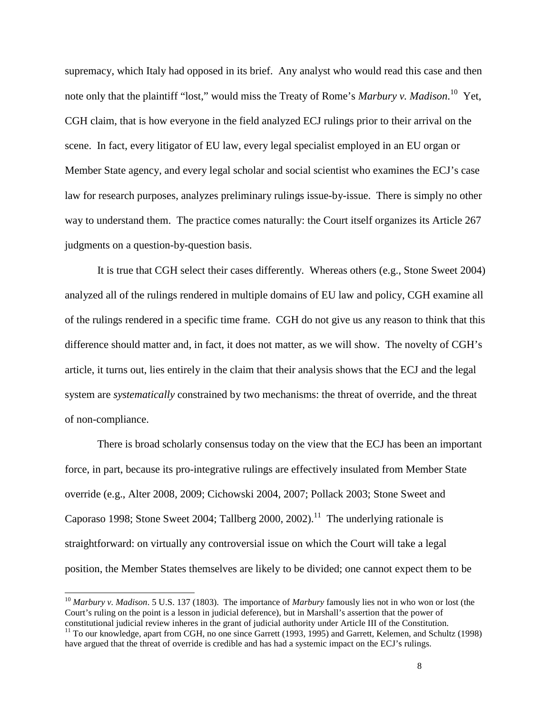supremacy, which Italy had opposed in its brief. Any analyst who would read this case and then note only that the plaintiff "lost," would miss the Treaty of Rome's *Marbury v. Madison*. <sup>10</sup> Yet, CGH claim, that is how everyone in the field analyzed ECJ rulings prior to their arrival on the scene. In fact, every litigator of EU law, every legal specialist employed in an EU organ or Member State agency, and every legal scholar and social scientist who examines the ECJ's case law for research purposes, analyzes preliminary rulings issue-by-issue. There is simply no other way to understand them. The practice comes naturally: the Court itself organizes its Article 267 judgments on a question-by-question basis.

It is true that CGH select their cases differently. Whereas others (e.g., Stone Sweet 2004) analyzed all of the rulings rendered in multiple domains of EU law and policy, CGH examine all of the rulings rendered in a specific time frame. CGH do not give us any reason to think that this difference should matter and, in fact, it does not matter, as we will show. The novelty of CGH's article, it turns out, lies entirely in the claim that their analysis shows that the ECJ and the legal system are *systematically* constrained by two mechanisms: the threat of override, and the threat of non-compliance.

There is broad scholarly consensus today on the view that the ECJ has been an important force, in part, because its pro-integrative rulings are effectively insulated from Member State override (e.g., Alter 2008, 2009; Cichowski 2004, 2007; Pollack 2003; Stone Sweet and Caporaso 1998; Stone Sweet 2004; Tallberg 2000, 2002).<sup>11</sup> The underlying rationale is straightforward: on virtually any controversial issue on which the Court will take a legal position, the Member States themselves are likely to be divided; one cannot expect them to be

<sup>10</sup> *Marbury v. Madison*. 5 U.S. 137 (1803). The importance of *Marbury* famously lies not in who won or lost (the Court's ruling on the point is a lesson in judicial deference), but in Marshall's assertion that the power of constitutional judicial review inheres in the grant of judicial authority under Article III of the Constitution.

<sup>&</sup>lt;sup>11</sup> To our knowledge, apart from CGH, no one since Garrett (1993, 1995) and Garrett, Kelemen, and Schultz (1998) have argued that the threat of override is credible and has had a systemic impact on the ECJ's rulings.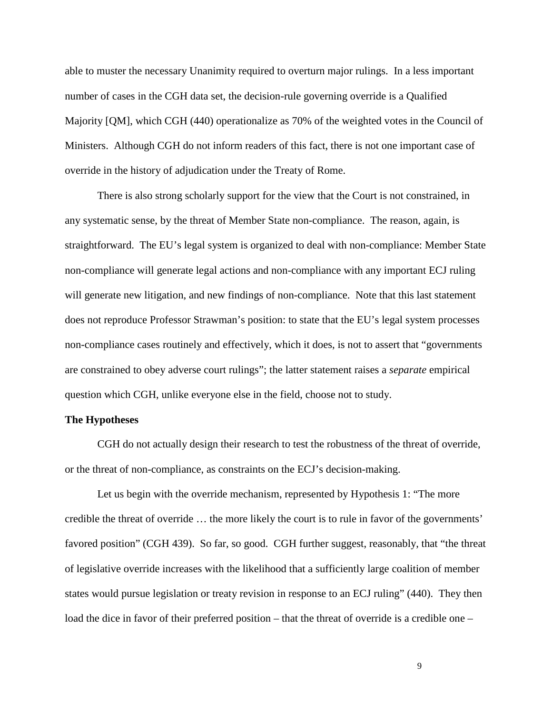able to muster the necessary Unanimity required to overturn major rulings. In a less important number of cases in the CGH data set, the decision-rule governing override is a Qualified Majority [QM], which CGH (440) operationalize as 70% of the weighted votes in the Council of Ministers. Although CGH do not inform readers of this fact, there is not one important case of override in the history of adjudication under the Treaty of Rome.

There is also strong scholarly support for the view that the Court is not constrained, in any systematic sense, by the threat of Member State non-compliance. The reason, again, is straightforward. The EU's legal system is organized to deal with non-compliance: Member State non-compliance will generate legal actions and non-compliance with any important ECJ ruling will generate new litigation, and new findings of non-compliance. Note that this last statement does not reproduce Professor Strawman's position: to state that the EU's legal system processes non-compliance cases routinely and effectively, which it does, is not to assert that "governments are constrained to obey adverse court rulings"; the latter statement raises a *separate* empirical question which CGH, unlike everyone else in the field, choose not to study.

### **The Hypotheses**

CGH do not actually design their research to test the robustness of the threat of override, or the threat of non-compliance, as constraints on the ECJ's decision-making.

Let us begin with the override mechanism, represented by Hypothesis 1: "The more credible the threat of override … the more likely the court is to rule in favor of the governments' favored position" (CGH 439). So far, so good. CGH further suggest, reasonably, that "the threat of legislative override increases with the likelihood that a sufficiently large coalition of member states would pursue legislation or treaty revision in response to an ECJ ruling" (440). They then load the dice in favor of their preferred position – that the threat of override is a credible one –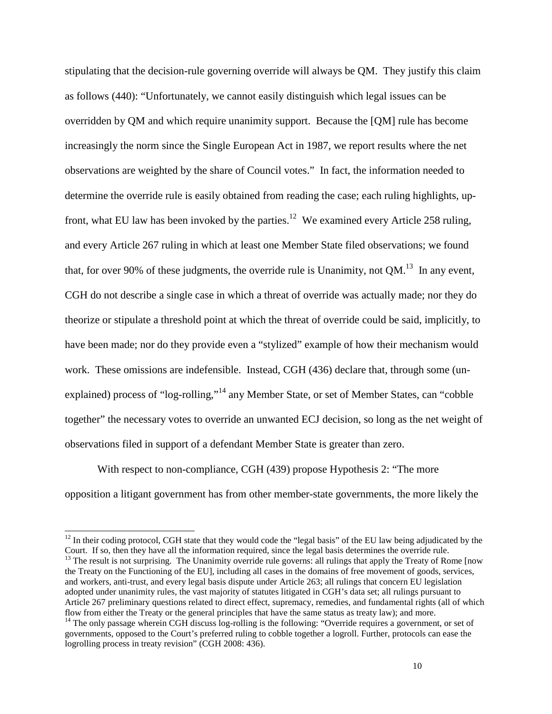stipulating that the decision-rule governing override will always be QM. They justify this claim as follows (440): "Unfortunately, we cannot easily distinguish which legal issues can be overridden by QM and which require unanimity support. Because the [QM] rule has become increasingly the norm since the Single European Act in 1987, we report results where the net observations are weighted by the share of Council votes." In fact, the information needed to determine the override rule is easily obtained from reading the case; each ruling highlights, upfront, what EU law has been invoked by the parties.<sup>12</sup> We examined every Article 258 ruling, and every Article 267 ruling in which at least one Member State filed observations; we found that, for over 90% of these judgments, the override rule is Unanimity, not  $QM$ <sup>13</sup>. In any event, CGH do not describe a single case in which a threat of override was actually made; nor they do theorize or stipulate a threshold point at which the threat of override could be said, implicitly, to have been made; nor do they provide even a "stylized" example of how their mechanism would work. These omissions are indefensible. Instead, CGH (436) declare that, through some (unexplained) process of "log-rolling,"<sup>14</sup> any Member State, or set of Member States, can "cobble together" the necessary votes to override an unwanted ECJ decision, so long as the net weight of observations filed in support of a defendant Member State is greater than zero.

With respect to non-compliance, CGH (439) propose Hypothesis 2: "The more opposition a litigant government has from other member-state governments, the more likely the

 $12$  In their coding protocol, CGH state that they would code the "legal basis" of the EU law being adjudicated by the Court. If so, then they have all the information required, since the legal basis determines the override rule.  $13$  The result is not surprising. The Unanimity override rule governs: all rulings that apply the Treaty of Rome [now the Treaty on the Functioning of the EU], including all cases in the domains of free movement of goods, services, and workers, anti-trust, and every legal basis dispute under Article 263; all rulings that concern EU legislation adopted under unanimity rules, the vast majority of statutes litigated in CGH's data set; all rulings pursuant to Article 267 preliminary questions related to direct effect, supremacy, remedies, and fundamental rights (all of which flow from either the Treaty or the general principles that have the same status as treaty law); and more.

<sup>&</sup>lt;sup>14</sup> The only passage wherein CGH discuss log-rolling is the following: "Override requires a government, or set of governments, opposed to the Court's preferred ruling to cobble together a logroll. Further, protocols can ease the logrolling process in treaty revision" (CGH 2008: 436).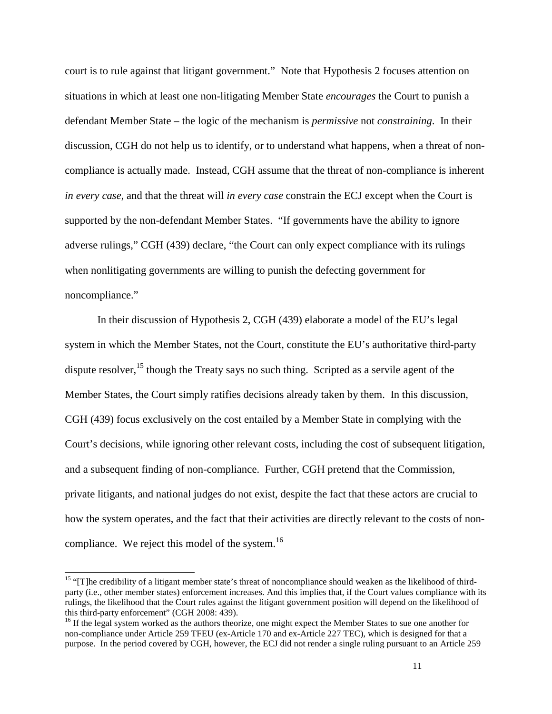court is to rule against that litigant government." Note that Hypothesis 2 focuses attention on situations in which at least one non-litigating Member State *encourages* the Court to punish a defendant Member State – the logic of the mechanism is *permissive* not *constraining*. In their discussion, CGH do not help us to identify, or to understand what happens, when a threat of noncompliance is actually made. Instead, CGH assume that the threat of non-compliance is inherent *in every case*, and that the threat will *in every case* constrain the ECJ except when the Court is supported by the non-defendant Member States. "If governments have the ability to ignore adverse rulings," CGH (439) declare, "the Court can only expect compliance with its rulings when nonlitigating governments are willing to punish the defecting government for noncompliance."

In their discussion of Hypothesis 2, CGH (439) elaborate a model of the EU's legal system in which the Member States, not the Court, constitute the EU's authoritative third-party dispute resolver,  $^{15}$  though the Treaty says no such thing. Scripted as a servile agent of the Member States, the Court simply ratifies decisions already taken by them. In this discussion, CGH (439) focus exclusively on the cost entailed by a Member State in complying with the Court's decisions, while ignoring other relevant costs, including the cost of subsequent litigation, and a subsequent finding of non-compliance. Further, CGH pretend that the Commission, private litigants, and national judges do not exist, despite the fact that these actors are crucial to how the system operates, and the fact that their activities are directly relevant to the costs of noncompliance. We reject this model of the system.<sup>16</sup>

<sup>&</sup>lt;sup>15</sup> "[T]he credibility of a litigant member state's threat of noncompliance should weaken as the likelihood of thirdparty (i.e., other member states) enforcement increases. And this implies that, if the Court values compliance with its rulings, the likelihood that the Court rules against the litigant government position will depend on the likelihood of this third-party enforcement" (CGH 2008: 439).

<sup>&</sup>lt;sup>16</sup> If the legal system worked as the authors theorize, one might expect the Member States to sue one another for non-compliance under Article 259 TFEU (ex-Article 170 and ex-Article 227 TEC), which is designed for that a purpose. In the period covered by CGH, however, the ECJ did not render a single ruling pursuant to an Article 259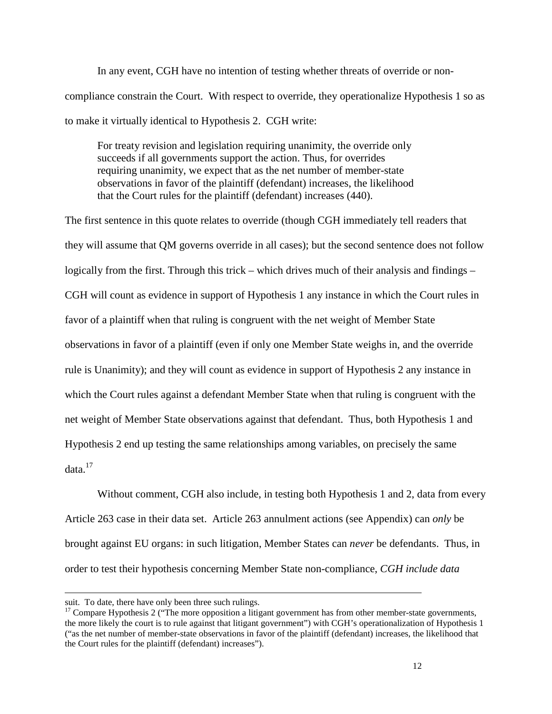In any event, CGH have no intention of testing whether threats of override or noncompliance constrain the Court. With respect to override, they operationalize Hypothesis 1 so as to make it virtually identical to Hypothesis 2. CGH write:

For treaty revision and legislation requiring unanimity, the override only succeeds if all governments support the action. Thus, for overrides requiring unanimity, we expect that as the net number of member-state observations in favor of the plaintiff (defendant) increases, the likelihood that the Court rules for the plaintiff (defendant) increases (440).

The first sentence in this quote relates to override (though CGH immediately tell readers that they will assume that QM governs override in all cases); but the second sentence does not follow logically from the first. Through this trick – which drives much of their analysis and findings – CGH will count as evidence in support of Hypothesis 1 any instance in which the Court rules in favor of a plaintiff when that ruling is congruent with the net weight of Member State observations in favor of a plaintiff (even if only one Member State weighs in, and the override rule is Unanimity); and they will count as evidence in support of Hypothesis 2 any instance in which the Court rules against a defendant Member State when that ruling is congruent with the net weight of Member State observations against that defendant. Thus, both Hypothesis 1 and Hypothesis 2 end up testing the same relationships among variables, on precisely the same  $data.<sup>17</sup>$ 

Without comment, CGH also include, in testing both Hypothesis 1 and 2, data from every Article 263 case in their data set. Article 263 annulment actions (see Appendix) can *only* be brought against EU organs: in such litigation, Member States can *never* be defendants. Thus, in order to test their hypothesis concerning Member State non-compliance, *CGH include data* 

suit. To date, there have only been three such rulings.

<sup>&</sup>lt;sup>17</sup> Compare Hypothesis 2 ("The more opposition a litigant government has from other member-state governments, the more likely the court is to rule against that litigant government") with CGH's operationalization of Hypothesis 1 ("as the net number of member-state observations in favor of the plaintiff (defendant) increases, the likelihood that the Court rules for the plaintiff (defendant) increases").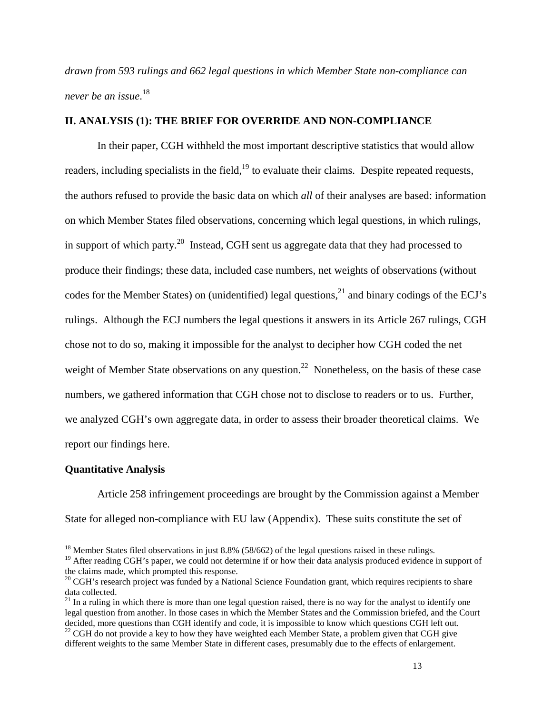*drawn from 593 rulings and 662 legal questions in which Member State non-compliance can never be an issue*. 18

# **II. ANALYSIS (1): THE BRIEF FOR OVERRIDE AND NON-COMPLIANCE**

In their paper, CGH withheld the most important descriptive statistics that would allow readers, including specialists in the field,  $19$  to evaluate their claims. Despite repeated requests, the authors refused to provide the basic data on which *all* of their analyses are based: information on which Member States filed observations, concerning which legal questions, in which rulings, in support of which party.<sup>20</sup> Instead, CGH sent us aggregate data that they had processed to produce their findings; these data, included case numbers, net weights of observations (without codes for the Member States) on (unidentified) legal questions,  $^{21}$  and binary codings of the ECJ's rulings. Although the ECJ numbers the legal questions it answers in its Article 267 rulings, CGH chose not to do so, making it impossible for the analyst to decipher how CGH coded the net weight of Member State observations on any question.<sup>22</sup> Nonetheless, on the basis of these case numbers, we gathered information that CGH chose not to disclose to readers or to us. Further, we analyzed CGH's own aggregate data, in order to assess their broader theoretical claims. We report our findings here.

#### **Quantitative Analysis**

 $\overline{a}$ 

Article 258 infringement proceedings are brought by the Commission against a Member State for alleged non-compliance with EU law (Appendix). These suits constitute the set of

<sup>&</sup>lt;sup>18</sup> Member States filed observations in just 8.8% (58/662) of the legal questions raised in these rulings.

<sup>&</sup>lt;sup>19</sup> After reading CGH's paper, we could not determine if or how their data analysis produced evidence in support of the claims made, which prompted this response.

<sup>&</sup>lt;sup>20</sup> CGH's research project was funded by a National Science Foundation grant, which requires recipients to share data collected.

 $21$  In a ruling in which there is more than one legal question raised, there is no way for the analyst to identify one legal question from another. In those cases in which the Member States and the Commission briefed, and the Court decided, more questions than CGH identify and code, it is impossible to know which questions CGH left out.

 $^{22}$  CGH do not provide a key to how they have weighted each Member State, a problem given that CGH give different weights to the same Member State in different cases, presumably due to the effects of enlargement.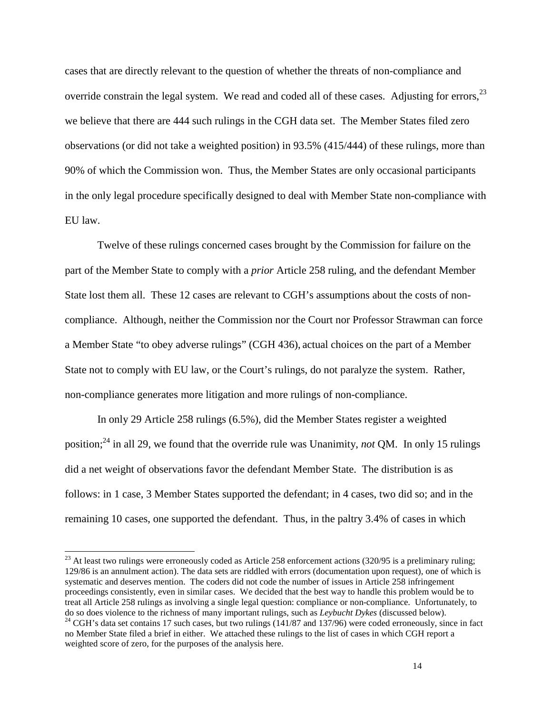cases that are directly relevant to the question of whether the threats of non-compliance and override constrain the legal system. We read and coded all of these cases. Adjusting for errors,<sup>23</sup> we believe that there are 444 such rulings in the CGH data set. The Member States filed zero observations (or did not take a weighted position) in 93.5% (415/444) of these rulings, more than 90% of which the Commission won. Thus, the Member States are only occasional participants in the only legal procedure specifically designed to deal with Member State non-compliance with EU law.

Twelve of these rulings concerned cases brought by the Commission for failure on the part of the Member State to comply with a *prior* Article 258 ruling, and the defendant Member State lost them all. These 12 cases are relevant to CGH's assumptions about the costs of noncompliance. Although, neither the Commission nor the Court nor Professor Strawman can force a Member State "to obey adverse rulings" (CGH 436), actual choices on the part of a Member State not to comply with EU law, or the Court's rulings, do not paralyze the system. Rather, non-compliance generates more litigation and more rulings of non-compliance.

In only 29 Article 258 rulings (6.5%), did the Member States register a weighted position;<sup>24</sup> in all 29, we found that the override rule was Unanimity, *not* QM. In only 15 rulings did a net weight of observations favor the defendant Member State. The distribution is as follows: in 1 case, 3 Member States supported the defendant; in 4 cases, two did so; and in the remaining 10 cases, one supported the defendant. Thus, in the paltry 3.4% of cases in which

 $^{23}$  At least two rulings were erroneously coded as Article 258 enforcement actions (320/95 is a preliminary ruling; 129/86 is an annulment action). The data sets are riddled with errors (documentation upon request), one of which is systematic and deserves mention. The coders did not code the number of issues in Article 258 infringement proceedings consistently, even in similar cases. We decided that the best way to handle this problem would be to treat all Article 258 rulings as involving a single legal question: compliance or non-compliance. Unfortunately, to do so does violence to the richness of many important rulings, such as *Leybucht Dykes* (discussed below).

 $^{24}$  CGH's data set contains 17 such cases, but two rulings (141/87 and 137/96) were coded erroneously, since in fact no Member State filed a brief in either. We attached these rulings to the list of cases in which CGH report a weighted score of zero, for the purposes of the analysis here.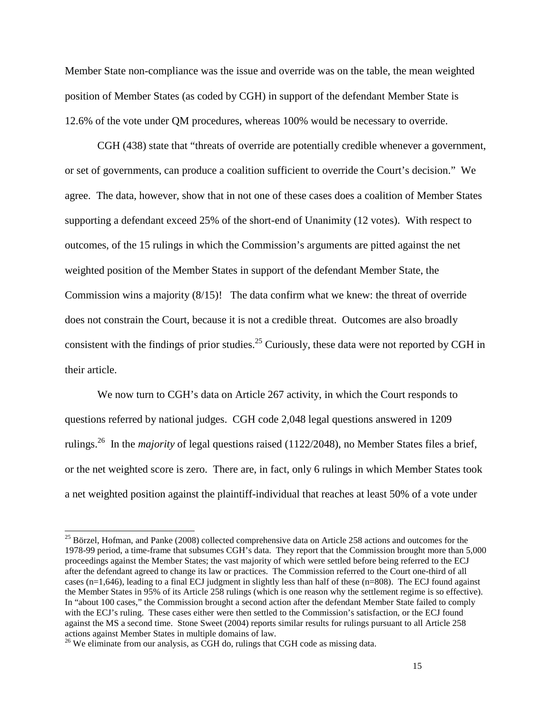Member State non-compliance was the issue and override was on the table, the mean weighted position of Member States (as coded by CGH) in support of the defendant Member State is 12.6% of the vote under QM procedures, whereas 100% would be necessary to override.

CGH (438) state that "threats of override are potentially credible whenever a government, or set of governments, can produce a coalition sufficient to override the Court's decision." We agree. The data, however, show that in not one of these cases does a coalition of Member States supporting a defendant exceed 25% of the short-end of Unanimity (12 votes). With respect to outcomes, of the 15 rulings in which the Commission's arguments are pitted against the net weighted position of the Member States in support of the defendant Member State, the Commission wins a majority (8/15)! The data confirm what we knew: the threat of override does not constrain the Court, because it is not a credible threat. Outcomes are also broadly consistent with the findings of prior studies.<sup>25</sup> Curiously, these data were not reported by CGH in their article.

We now turn to CGH's data on Article 267 activity, in which the Court responds to questions referred by national judges. CGH code 2,048 legal questions answered in 1209 rulings.<sup>26</sup> In the *majority* of legal questions raised (1122/2048), no Member States files a brief, or the net weighted score is zero. There are, in fact, only 6 rulings in which Member States took a net weighted position against the plaintiff-individual that reaches at least 50% of a vote under

<sup>&</sup>lt;sup>25</sup> Börzel, Hofman, and Panke (2008) collected comprehensive data on Article 258 actions and outcomes for the 1978-99 period, a time-frame that subsumes CGH's data. They report that the Commission brought more than 5,000 proceedings against the Member States; the vast majority of which were settled before being referred to the ECJ after the defendant agreed to change its law or practices. The Commission referred to the Court one-third of all cases  $(n=1,646)$ , leading to a final ECJ judgment in slightly less than half of these  $(n=808)$ . The ECJ found against the Member States in 95% of its Article 258 rulings (which is one reason why the settlement regime is so effective). In "about 100 cases," the Commission brought a second action after the defendant Member State failed to comply with the ECJ's ruling. These cases either were then settled to the Commission's satisfaction, or the ECJ found against the MS a second time. Stone Sweet (2004) reports similar results for rulings pursuant to all Article 258 actions against Member States in multiple domains of law.

<sup>&</sup>lt;sup>26</sup> We eliminate from our analysis, as CGH do, rulings that CGH code as missing data.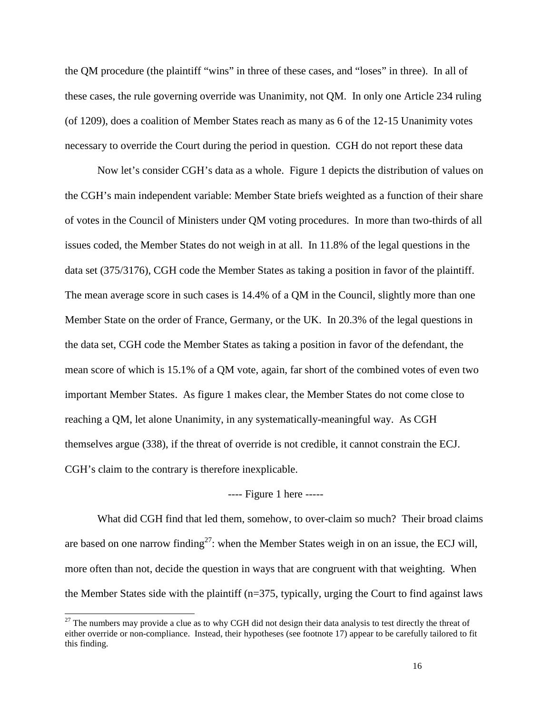the QM procedure (the plaintiff "wins" in three of these cases, and "loses" in three). In all of these cases, the rule governing override was Unanimity, not QM. In only one Article 234 ruling (of 1209), does a coalition of Member States reach as many as 6 of the 12-15 Unanimity votes necessary to override the Court during the period in question. CGH do not report these data

Now let's consider CGH's data as a whole. Figure 1 depicts the distribution of values on the CGH's main independent variable: Member State briefs weighted as a function of their share of votes in the Council of Ministers under QM voting procedures. In more than two-thirds of all issues coded, the Member States do not weigh in at all. In 11.8% of the legal questions in the data set (375/3176), CGH code the Member States as taking a position in favor of the plaintiff. The mean average score in such cases is 14.4% of a QM in the Council, slightly more than one Member State on the order of France, Germany, or the UK. In 20.3% of the legal questions in the data set, CGH code the Member States as taking a position in favor of the defendant, the mean score of which is 15.1% of a QM vote, again, far short of the combined votes of even two important Member States. As figure 1 makes clear, the Member States do not come close to reaching a QM, let alone Unanimity, in any systematically-meaningful way. As CGH themselves argue (338), if the threat of override is not credible, it cannot constrain the ECJ. CGH's claim to the contrary is therefore inexplicable.

### ---- Figure 1 here -----

What did CGH find that led them, somehow, to over-claim so much? Their broad claims are based on one narrow finding<sup>27</sup>: when the Member States weigh in on an issue, the ECJ will, more often than not, decide the question in ways that are congruent with that weighting. When the Member States side with the plaintiff (n=375, typically, urging the Court to find against laws

 $27$  The numbers may provide a clue as to why CGH did not design their data analysis to test directly the threat of either override or non-compliance. Instead, their hypotheses (see footnote 17) appear to be carefully tailored to fit this finding.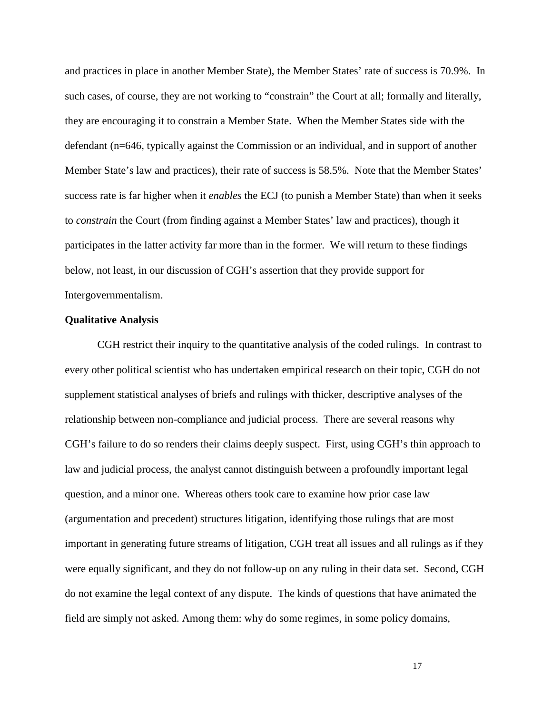and practices in place in another Member State), the Member States' rate of success is 70.9%. In such cases, of course, they are not working to "constrain" the Court at all; formally and literally, they are encouraging it to constrain a Member State. When the Member States side with the defendant (n=646, typically against the Commission or an individual, and in support of another Member State's law and practices), their rate of success is 58.5%. Note that the Member States' success rate is far higher when it *enables* the ECJ (to punish a Member State) than when it seeks to *constrain* the Court (from finding against a Member States' law and practices), though it participates in the latter activity far more than in the former. We will return to these findings below, not least, in our discussion of CGH's assertion that they provide support for Intergovernmentalism.

### **Qualitative Analysis**

CGH restrict their inquiry to the quantitative analysis of the coded rulings. In contrast to every other political scientist who has undertaken empirical research on their topic, CGH do not supplement statistical analyses of briefs and rulings with thicker, descriptive analyses of the relationship between non-compliance and judicial process. There are several reasons why CGH's failure to do so renders their claims deeply suspect. First, using CGH's thin approach to law and judicial process, the analyst cannot distinguish between a profoundly important legal question, and a minor one. Whereas others took care to examine how prior case law (argumentation and precedent) structures litigation, identifying those rulings that are most important in generating future streams of litigation, CGH treat all issues and all rulings as if they were equally significant, and they do not follow-up on any ruling in their data set. Second, CGH do not examine the legal context of any dispute. The kinds of questions that have animated the field are simply not asked. Among them: why do some regimes, in some policy domains,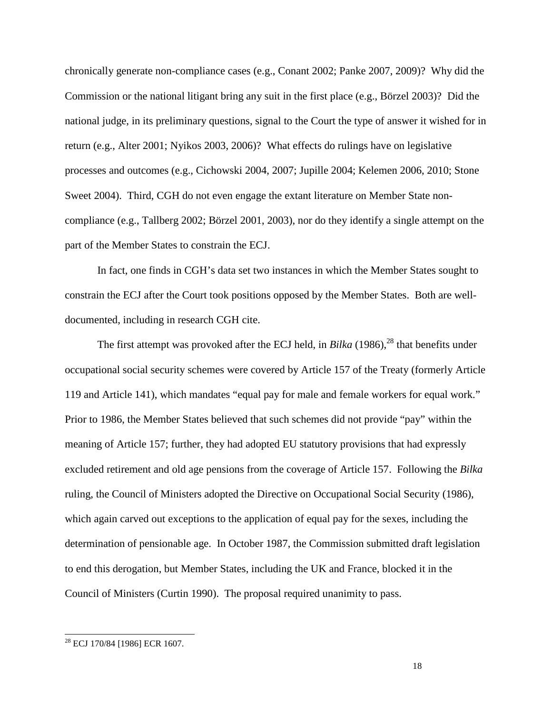chronically generate non-compliance cases (e.g., Conant 2002; Panke 2007, 2009)? Why did the Commission or the national litigant bring any suit in the first place (e.g., Börzel 2003)? Did the national judge, in its preliminary questions, signal to the Court the type of answer it wished for in return (e.g., Alter 2001; Nyikos 2003, 2006)? What effects do rulings have on legislative processes and outcomes (e.g., Cichowski 2004, 2007; Jupille 2004; Kelemen 2006, 2010; Stone Sweet 2004). Third, CGH do not even engage the extant literature on Member State noncompliance (e.g., Tallberg 2002; Börzel 2001, 2003), nor do they identify a single attempt on the part of the Member States to constrain the ECJ.

In fact, one finds in CGH's data set two instances in which the Member States sought to constrain the ECJ after the Court took positions opposed by the Member States. Both are welldocumented, including in research CGH cite.

The first attempt was provoked after the ECJ held, in *Bilka* (1986),<sup>28</sup> that benefits under occupational social security schemes were covered by Article 157 of the Treaty (formerly Article 119 and Article 141), which mandates "equal pay for male and female workers for equal work." Prior to 1986, the Member States believed that such schemes did not provide "pay" within the meaning of Article 157; further, they had adopted EU statutory provisions that had expressly excluded retirement and old age pensions from the coverage of Article 157. Following the *Bilka* ruling, the Council of Ministers adopted the Directive on Occupational Social Security (1986), which again carved out exceptions to the application of equal pay for the sexes, including the determination of pensionable age. In October 1987, the Commission submitted draft legislation to end this derogation, but Member States, including the UK and France, blocked it in the Council of Ministers (Curtin 1990). The proposal required unanimity to pass.

<sup>28</sup> ECJ 170/84 [1986] ECR 1607.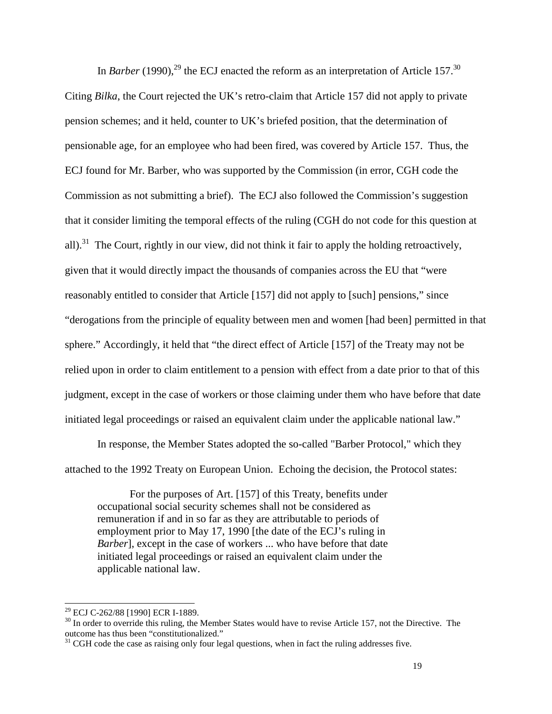In *Barber* (1990),<sup>29</sup> the ECJ enacted the reform as an interpretation of Article 157.<sup>30</sup> Citing *Bilka*, the Court rejected the UK's retro-claim that Article 157 did not apply to private pension schemes; and it held, counter to UK's briefed position, that the determination of pensionable age, for an employee who had been fired, was covered by Article 157. Thus, the ECJ found for Mr. Barber, who was supported by the Commission (in error, CGH code the Commission as not submitting a brief). The ECJ also followed the Commission's suggestion that it consider limiting the temporal effects of the ruling (CGH do not code for this question at all).<sup>31</sup> The Court, rightly in our view, did not think it fair to apply the holding retroactively, given that it would directly impact the thousands of companies across the EU that "were reasonably entitled to consider that Article [157] did not apply to [such] pensions," since "derogations from the principle of equality between men and women [had been] permitted in that sphere." Accordingly, it held that "the direct effect of Article [157] of the Treaty may not be relied upon in order to claim entitlement to a pension with effect from a date prior to that of this judgment, except in the case of workers or those claiming under them who have before that date initiated legal proceedings or raised an equivalent claim under the applicable national law."

In response, the Member States adopted the so-called "Barber Protocol," which they attached to the 1992 Treaty on European Union. Echoing the decision, the Protocol states:

For the purposes of Art. [157] of this Treaty, benefits under occupational social security schemes shall not be considered as remuneration if and in so far as they are attributable to periods of employment prior to May 17, 1990 [the date of the ECJ's ruling in *Barber*], except in the case of workers ... who have before that date initiated legal proceedings or raised an equivalent claim under the applicable national law.

<sup>29</sup> ECJ C-262/88 [1990] ECR I-1889.

 $30$  In order to override this ruling, the Member States would have to revise Article 157, not the Directive. The outcome has thus been "constitutionalized."

 $31$  CGH code the case as raising only four legal questions, when in fact the ruling addresses five.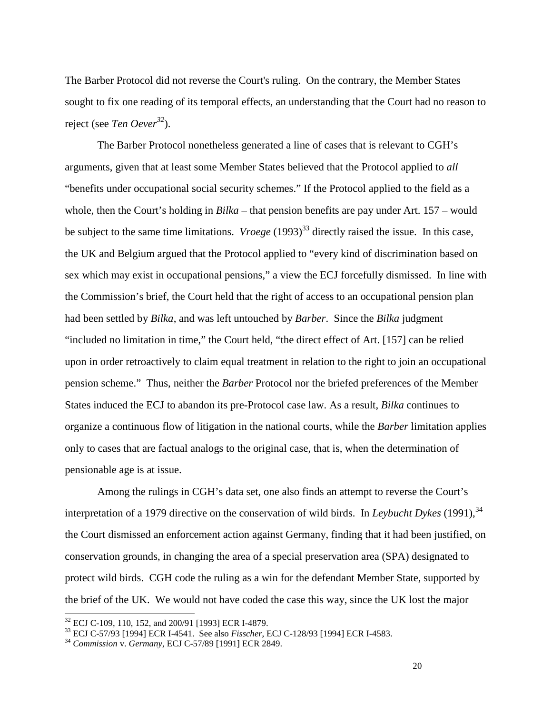The Barber Protocol did not reverse the Court's ruling. On the contrary, the Member States sought to fix one reading of its temporal effects, an understanding that the Court had no reason to reject (see *Ten Oever<sup>32</sup>*).

The Barber Protocol nonetheless generated a line of cases that is relevant to CGH's arguments, given that at least some Member States believed that the Protocol applied to *all* "benefits under occupational social security schemes." If the Protocol applied to the field as a whole, then the Court's holding in *Bilka* – that pension benefits are pay under Art. 157 – would be subject to the same time limitations. *Vroege* (1993)<sup>33</sup> directly raised the issue. In this case, the UK and Belgium argued that the Protocol applied to "every kind of discrimination based on sex which may exist in occupational pensions," a view the ECJ forcefully dismissed. In line with the Commission's brief, the Court held that the right of access to an occupational pension plan had been settled by *Bilka*, and was left untouched by *Barber*. Since the *Bilka* judgment "included no limitation in time," the Court held, "the direct effect of Art. [157] can be relied upon in order retroactively to claim equal treatment in relation to the right to join an occupational pension scheme." Thus, neither the *Barber* Protocol nor the briefed preferences of the Member States induced the ECJ to abandon its pre-Protocol case law. As a result, *Bilka* continues to organize a continuous flow of litigation in the national courts, while the *Barber* limitation applies only to cases that are factual analogs to the original case, that is, when the determination of pensionable age is at issue.

Among the rulings in CGH's data set, one also finds an attempt to reverse the Court's interpretation of a 1979 directive on the conservation of wild birds. In *Leybucht Dykes*  $(1991)$ , <sup>34</sup> the Court dismissed an enforcement action against Germany, finding that it had been justified, on conservation grounds, in changing the area of a special preservation area (SPA) designated to protect wild birds. CGH code the ruling as a win for the defendant Member State, supported by the brief of the UK. We would not have coded the case this way, since the UK lost the major

 $32$  ECJ C-109, 110, 152, and 200/91 [1993] ECR I-4879.

<sup>33</sup> ECJ C-57/93 [1994] ECR I-4541. See also *Fisscher*, ECJ C-128/93 [1994] ECR I-4583.

<sup>34</sup> *Commission* v. *Germany*, ECJ C-57/89 [1991] ECR 2849.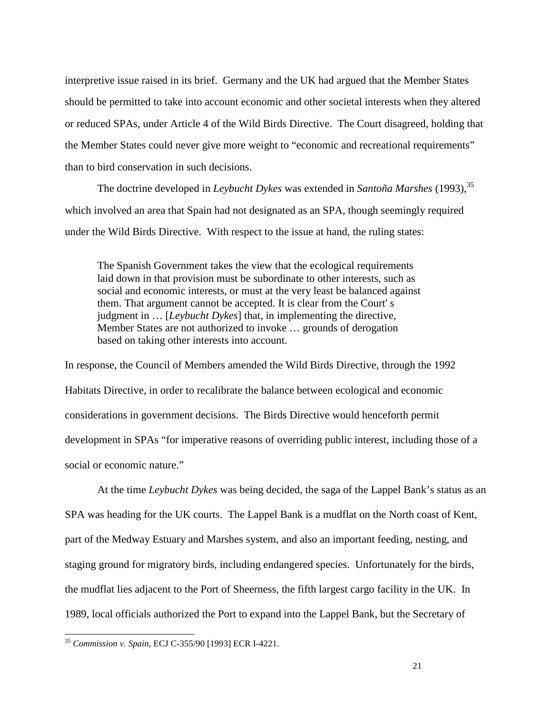interpretive issue raised in its brief. Germany and the UK had argued that the Member States should be permitted to take into account economic and other societal interests when they altered or reduced SPAs, under Article 4 of the Wild Birds Directive. The Court disagreed, holding that the Member States could never give more weight to "economic and recreational requirements" than to bird conservation in such decisions.

The doctrine developed in *Leybucht Dykes* was extended in *Santoña Marshes* (1993),<sup>35</sup> which involved an area that Spain had not designated as an SPA, though seemingly required under the Wild Birds Directive. With respect to the issue at hand, the ruling states:

The Spanish Government takes the view that the ecological requirements laid down in that provision must be subordinate to other interests, such as social and economic interests, or must at the very least be balanced against them. That argument cannot be accepted. It is clear from the Court' s judgment in … [*Leybucht Dykes*] that, in implementing the directive, Member States are not authorized to invoke … grounds of derogation based on taking other interests into account.

In response, the Council of Members amended the Wild Birds Directive, through the 1992 Habitats Directive, in order to recalibrate the balance between ecological and economic considerations in government decisions. The Birds Directive would henceforth permit development in SPAs "for imperative reasons of overriding public interest, including those of a social or economic nature."

At the time *Leybucht Dykes* was being decided, the saga of the Lappel Bank's status as an SPA was heading for the UK courts. The Lappel Bank is a mudflat on the North coast of Kent, part of the Medway Estuary and Marshes system, and also an important feeding, nesting, and staging ground for migratory birds, including endangered species. Unfortunately for the birds, the mudflat lies adjacent to the Port of Sheerness, the fifth largest cargo facility in the UK. In 1989, local officials authorized the Port to expand into the Lappel Bank, but the Secretary of

<sup>35</sup> *Commission v. Spain*, ECJ C-355/90 [1993] ECR I-4221.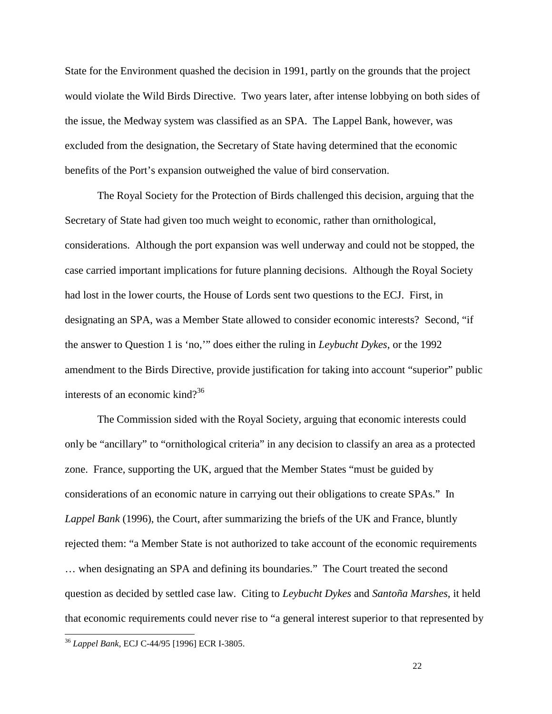State for the Environment quashed the decision in 1991, partly on the grounds that the project would violate the Wild Birds Directive. Two years later, after intense lobbying on both sides of the issue, the Medway system was classified as an SPA. The Lappel Bank, however, was excluded from the designation, the Secretary of State having determined that the economic benefits of the Port's expansion outweighed the value of bird conservation.

The Royal Society for the Protection of Birds challenged this decision, arguing that the Secretary of State had given too much weight to economic, rather than ornithological, considerations. Although the port expansion was well underway and could not be stopped, the case carried important implications for future planning decisions. Although the Royal Society had lost in the lower courts, the House of Lords sent two questions to the ECJ. First, in designating an SPA, was a Member State allowed to consider economic interests? Second, "if the answer to Question 1 is 'no,'" does either the ruling in *Leybucht Dykes*, or the 1992 amendment to the Birds Directive, provide justification for taking into account "superior" public interests of an economic kind?<sup>36</sup>

The Commission sided with the Royal Society, arguing that economic interests could only be "ancillary" to "ornithological criteria" in any decision to classify an area as a protected zone. France, supporting the UK, argued that the Member States "must be guided by considerations of an economic nature in carrying out their obligations to create SPAs." In *Lappel Bank* (1996), the Court, after summarizing the briefs of the UK and France, bluntly rejected them: "a Member State is not authorized to take account of the economic requirements … when designating an SPA and defining its boundaries." The Court treated the second question as decided by settled case law. Citing to *Leybucht Dykes* and *Santoña Marshes*, it held that economic requirements could never rise to "a general interest superior to that represented by

<sup>36</sup> *Lappel Bank*, ECJ C-44/95 [1996] ECR I-3805.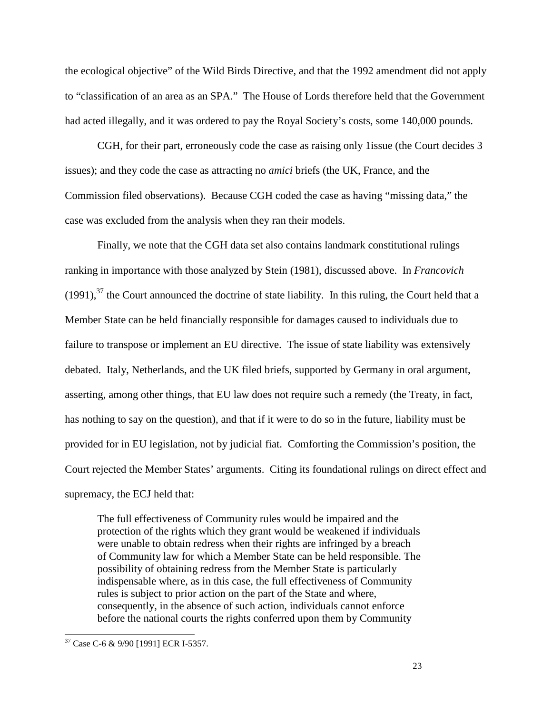the ecological objective" of the Wild Birds Directive, and that the 1992 amendment did not apply to "classification of an area as an SPA." The House of Lords therefore held that the Government had acted illegally, and it was ordered to pay the Royal Society's costs, some 140,000 pounds.

CGH, for their part, erroneously code the case as raising only 1issue (the Court decides 3 issues); and they code the case as attracting no *amici* briefs (the UK, France, and the Commission filed observations). Because CGH coded the case as having "missing data," the case was excluded from the analysis when they ran their models.

Finally, we note that the CGH data set also contains landmark constitutional rulings ranking in importance with those analyzed by Stein (1981), discussed above. In *Francovich*  $(1991)$ ,<sup>37</sup> the Court announced the doctrine of state liability. In this ruling, the Court held that a Member State can be held financially responsible for damages caused to individuals due to failure to transpose or implement an EU directive. The issue of state liability was extensively debated. Italy, Netherlands, and the UK filed briefs, supported by Germany in oral argument, asserting, among other things, that EU law does not require such a remedy (the Treaty, in fact, has nothing to say on the question), and that if it were to do so in the future, liability must be provided for in EU legislation, not by judicial fiat. Comforting the Commission's position, the Court rejected the Member States' arguments. Citing its foundational rulings on direct effect and supremacy, the ECJ held that:

The full effectiveness of Community rules would be impaired and the protection of the rights which they grant would be weakened if individuals were unable to obtain redress when their rights are infringed by a breach of Community law for which a Member State can be held responsible. The possibility of obtaining redress from the Member State is particularly indispensable where, as in this case, the full effectiveness of Community rules is subject to prior action on the part of the State and where, consequently, in the absence of such action, individuals cannot enforce before the national courts the rights conferred upon them by Community

-

<sup>37</sup> Case C-6 & 9/90 [1991] ECR I-5357.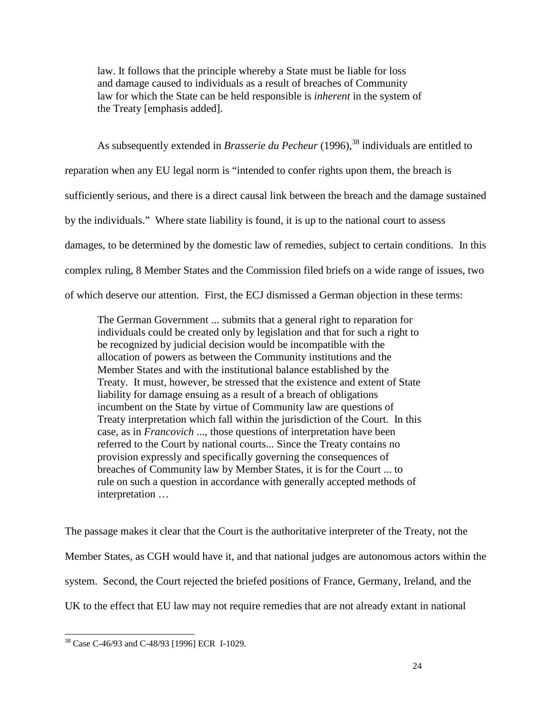law. It follows that the principle whereby a State must be liable for loss and damage caused to individuals as a result of breaches of Community law for which the State can be held responsible is *inherent* in the system of the Treaty [emphasis added].

As subsequently extended in *Brasserie du Pecheur* (1996),<sup>38</sup> individuals are entitled to reparation when any EU legal norm is "intended to confer rights upon them, the breach is sufficiently serious, and there is a direct causal link between the breach and the damage sustained by the individuals." Where state liability is found, it is up to the national court to assess damages, to be determined by the domestic law of remedies, subject to certain conditions. In this complex ruling, 8 Member States and the Commission filed briefs on a wide range of issues, two of which deserve our attention. First, the ECJ dismissed a German objection in these terms:

The German Government ... submits that a general right to reparation for individuals could be created only by legislation and that for such a right to be recognized by judicial decision would be incompatible with the allocation of powers as between the Community institutions and the Member States and with the institutional balance established by the Treaty. It must, however, be stressed that the existence and extent of State liability for damage ensuing as a result of a breach of obligations incumbent on the State by virtue of Community law are questions of Treaty interpretation which fall within the jurisdiction of the Court. In this case, as in *Francovich* ..., those questions of interpretation have been referred to the Court by national courts... Since the Treaty contains no provision expressly and specifically governing the consequences of breaches of Community law by Member States, it is for the Court ... to rule on such a question in accordance with generally accepted methods of interpretation …

The passage makes it clear that the Court is the authoritative interpreter of the Treaty, not the Member States, as CGH would have it, and that national judges are autonomous actors within the system. Second, the Court rejected the briefed positions of France, Germany, Ireland, and the UK to the effect that EU law may not require remedies that are not already extant in national

 $\overline{a}$ <sup>38</sup> Case C-46/93 and C-48/93 [1996] ECR I-1029.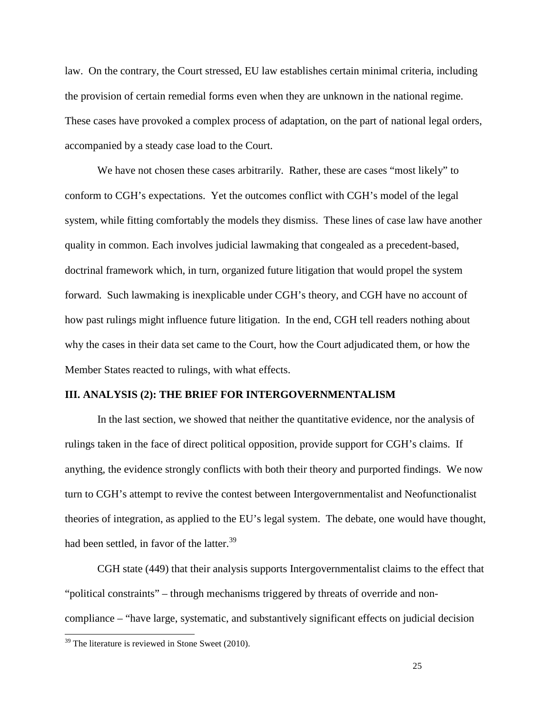law. On the contrary, the Court stressed, EU law establishes certain minimal criteria, including the provision of certain remedial forms even when they are unknown in the national regime. These cases have provoked a complex process of adaptation, on the part of national legal orders, accompanied by a steady case load to the Court.

We have not chosen these cases arbitrarily. Rather, these are cases "most likely" to conform to CGH's expectations. Yet the outcomes conflict with CGH's model of the legal system, while fitting comfortably the models they dismiss. These lines of case law have another quality in common. Each involves judicial lawmaking that congealed as a precedent-based, doctrinal framework which, in turn, organized future litigation that would propel the system forward. Such lawmaking is inexplicable under CGH's theory, and CGH have no account of how past rulings might influence future litigation. In the end, CGH tell readers nothing about why the cases in their data set came to the Court, how the Court adjudicated them, or how the Member States reacted to rulings, with what effects.

### **III. ANALYSIS (2): THE BRIEF FOR INTERGOVERNMENTALISM**

In the last section, we showed that neither the quantitative evidence, nor the analysis of rulings taken in the face of direct political opposition, provide support for CGH's claims. If anything, the evidence strongly conflicts with both their theory and purported findings. We now turn to CGH's attempt to revive the contest between Intergovernmentalist and Neofunctionalist theories of integration, as applied to the EU's legal system. The debate, one would have thought, had been settled, in favor of the latter.<sup>39</sup>

CGH state (449) that their analysis supports Intergovernmentalist claims to the effect that "political constraints" – through mechanisms triggered by threats of override and noncompliance – "have large, systematic, and substantively significant effects on judicial decision

 $\overline{a}$ 

 $39$  The literature is reviewed in Stone Sweet (2010).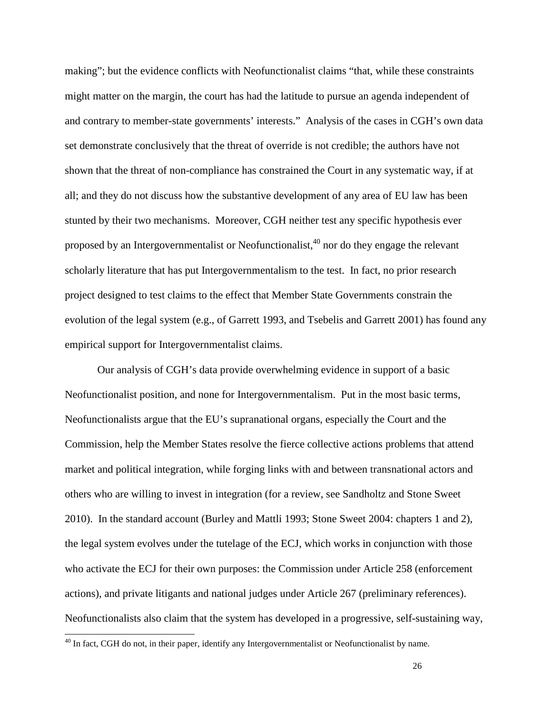making"; but the evidence conflicts with Neofunctionalist claims "that, while these constraints might matter on the margin, the court has had the latitude to pursue an agenda independent of and contrary to member-state governments' interests." Analysis of the cases in CGH's own data set demonstrate conclusively that the threat of override is not credible; the authors have not shown that the threat of non-compliance has constrained the Court in any systematic way, if at all; and they do not discuss how the substantive development of any area of EU law has been stunted by their two mechanisms. Moreover, CGH neither test any specific hypothesis ever proposed by an Intergovernmentalist or Neofunctionalist,  $40$  nor do they engage the relevant scholarly literature that has put Intergovernmentalism to the test. In fact, no prior research project designed to test claims to the effect that Member State Governments constrain the evolution of the legal system (e.g., of Garrett 1993, and Tsebelis and Garrett 2001) has found any empirical support for Intergovernmentalist claims.

Our analysis of CGH's data provide overwhelming evidence in support of a basic Neofunctionalist position, and none for Intergovernmentalism. Put in the most basic terms, Neofunctionalists argue that the EU's supranational organs, especially the Court and the Commission, help the Member States resolve the fierce collective actions problems that attend market and political integration, while forging links with and between transnational actors and others who are willing to invest in integration (for a review, see Sandholtz and Stone Sweet 2010). In the standard account (Burley and Mattli 1993; Stone Sweet 2004: chapters 1 and 2), the legal system evolves under the tutelage of the ECJ, which works in conjunction with those who activate the ECJ for their own purposes: the Commission under Article 258 (enforcement actions), and private litigants and national judges under Article 267 (preliminary references). Neofunctionalists also claim that the system has developed in a progressive, self-sustaining way,

<sup>&</sup>lt;sup>40</sup> In fact, CGH do not, in their paper, identify any Intergovernmentalist or Neofunctionalist by name.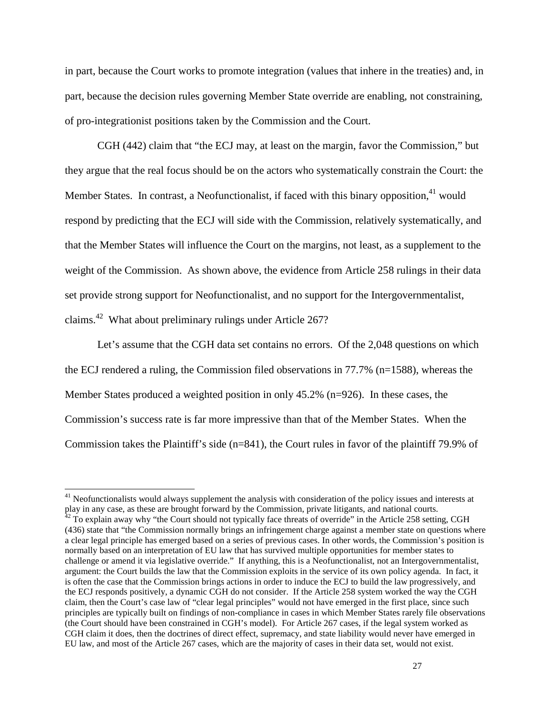in part, because the Court works to promote integration (values that inhere in the treaties) and, in part, because the decision rules governing Member State override are enabling, not constraining, of pro-integrationist positions taken by the Commission and the Court.

CGH (442) claim that "the ECJ may, at least on the margin, favor the Commission," but they argue that the real focus should be on the actors who systematically constrain the Court: the Member States. In contrast, a Neofunctionalist, if faced with this binary opposition,  $41$  would respond by predicting that the ECJ will side with the Commission, relatively systematically, and that the Member States will influence the Court on the margins, not least, as a supplement to the weight of the Commission. As shown above, the evidence from Article 258 rulings in their data set provide strong support for Neofunctionalist, and no support for the Intergovernmentalist, claims.<sup>42</sup> What about preliminary rulings under Article 267?

Let's assume that the CGH data set contains no errors. Of the 2,048 questions on which the ECJ rendered a ruling, the Commission filed observations in 77.7% (n=1588), whereas the Member States produced a weighted position in only 45.2% (n=926). In these cases, the Commission's success rate is far more impressive than that of the Member States. When the Commission takes the Plaintiff's side (n=841), the Court rules in favor of the plaintiff 79.9% of

<sup>&</sup>lt;sup>41</sup> Neofunctionalists would always supplement the analysis with consideration of the policy issues and interests at play in any case, as these are brought forward by the Commission, private litigants, and national courts.  $42$  To explain away why "the Court should not typically face threats of override" in the Article 258 setting, CGH (436) state that "the Commission normally brings an infringement charge against a member state on questions where a clear legal principle has emerged based on a series of previous cases. In other words, the Commission's position is normally based on an interpretation of EU law that has survived multiple opportunities for member states to challenge or amend it via legislative override." If anything, this is a Neofunctionalist, not an Intergovernmentalist, argument: the Court builds the law that the Commission exploits in the service of its own policy agenda. In fact, it is often the case that the Commission brings actions in order to induce the ECJ to build the law progressively, and the ECJ responds positively, a dynamic CGH do not consider. If the Article 258 system worked the way the CGH claim, then the Court's case law of "clear legal principles" would not have emerged in the first place, since such principles are typically built on findings of non-compliance in cases in which Member States rarely file observations (the Court should have been constrained in CGH's model). For Article 267 cases, if the legal system worked as CGH claim it does, then the doctrines of direct effect, supremacy, and state liability would never have emerged in EU law, and most of the Article 267 cases, which are the majority of cases in their data set, would not exist.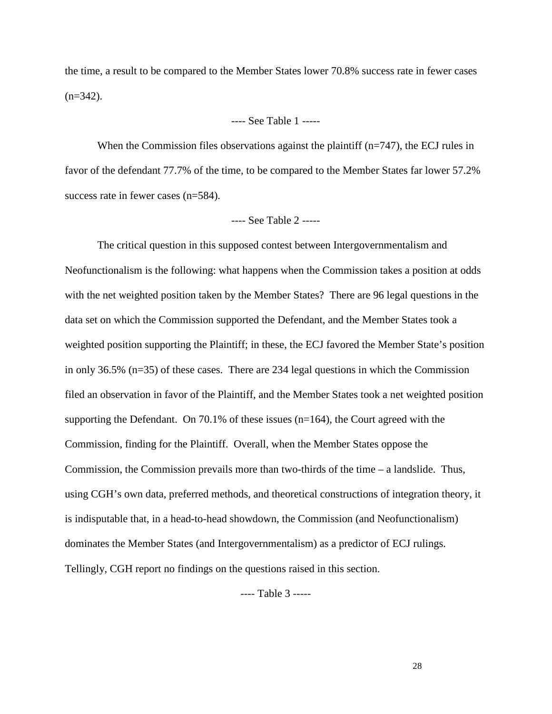the time, a result to be compared to the Member States lower 70.8% success rate in fewer cases  $(n=342)$ .

# ---- See Table 1 -----

When the Commission files observations against the plaintiff  $(n=747)$ , the ECJ rules in favor of the defendant 77.7% of the time, to be compared to the Member States far lower 57.2% success rate in fewer cases (n=584).

## ---- See Table 2 -----

The critical question in this supposed contest between Intergovernmentalism and Neofunctionalism is the following: what happens when the Commission takes a position at odds with the net weighted position taken by the Member States? There are 96 legal questions in the data set on which the Commission supported the Defendant, and the Member States took a weighted position supporting the Plaintiff; in these, the ECJ favored the Member State's position in only 36.5% (n=35) of these cases. There are 234 legal questions in which the Commission filed an observation in favor of the Plaintiff, and the Member States took a net weighted position supporting the Defendant. On 70.1% of these issues  $(n=164)$ , the Court agreed with the Commission, finding for the Plaintiff. Overall, when the Member States oppose the Commission, the Commission prevails more than two-thirds of the time – a landslide. Thus, using CGH's own data, preferred methods, and theoretical constructions of integration theory, it is indisputable that, in a head-to-head showdown, the Commission (and Neofunctionalism) dominates the Member States (and Intergovernmentalism) as a predictor of ECJ rulings. Tellingly, CGH report no findings on the questions raised in this section.

---- Table 3 -----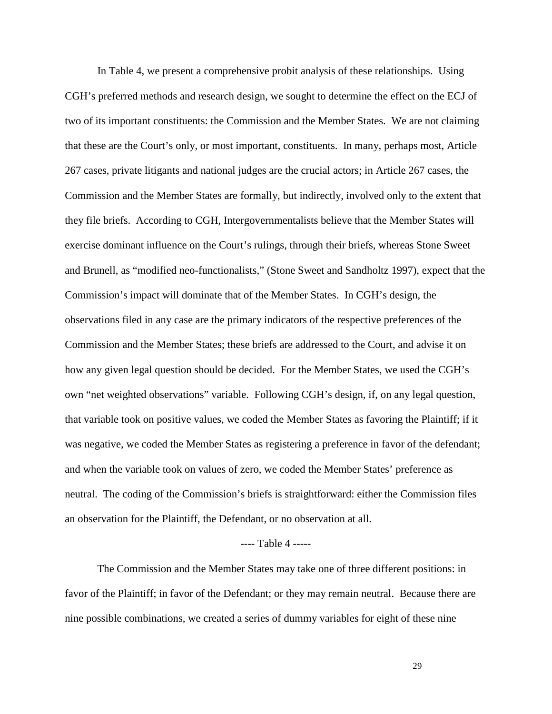In Table 4, we present a comprehensive probit analysis of these relationships. Using CGH's preferred methods and research design, we sought to determine the effect on the ECJ of two of its important constituents: the Commission and the Member States. We are not claiming that these are the Court's only, or most important, constituents. In many, perhaps most, Article 267 cases, private litigants and national judges are the crucial actors; in Article 267 cases, the Commission and the Member States are formally, but indirectly, involved only to the extent that they file briefs. According to CGH, Intergovernmentalists believe that the Member States will exercise dominant influence on the Court's rulings, through their briefs, whereas Stone Sweet and Brunell, as "modified neo-functionalists," (Stone Sweet and Sandholtz 1997), expect that the Commission's impact will dominate that of the Member States. In CGH's design, the observations filed in any case are the primary indicators of the respective preferences of the Commission and the Member States; these briefs are addressed to the Court, and advise it on how any given legal question should be decided. For the Member States, we used the CGH's own "net weighted observations" variable. Following CGH's design, if, on any legal question, that variable took on positive values, we coded the Member States as favoring the Plaintiff; if it was negative, we coded the Member States as registering a preference in favor of the defendant; and when the variable took on values of zero, we coded the Member States' preference as neutral. The coding of the Commission's briefs is straightforward: either the Commission files an observation for the Plaintiff, the Defendant, or no observation at all.

#### ---- Table 4 -----

The Commission and the Member States may take one of three different positions: in favor of the Plaintiff; in favor of the Defendant; or they may remain neutral. Because there are nine possible combinations, we created a series of dummy variables for eight of these nine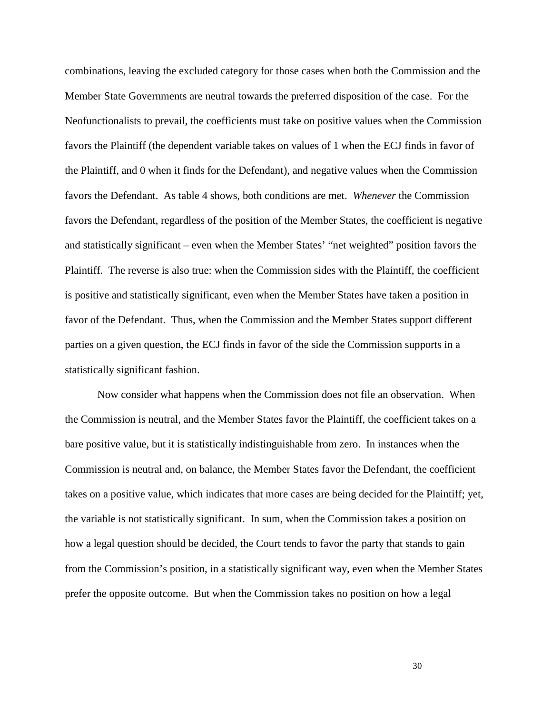combinations, leaving the excluded category for those cases when both the Commission and the Member State Governments are neutral towards the preferred disposition of the case. For the Neofunctionalists to prevail, the coefficients must take on positive values when the Commission favors the Plaintiff (the dependent variable takes on values of 1 when the ECJ finds in favor of the Plaintiff, and 0 when it finds for the Defendant), and negative values when the Commission favors the Defendant. As table 4 shows, both conditions are met. *Whenever* the Commission favors the Defendant, regardless of the position of the Member States, the coefficient is negative and statistically significant – even when the Member States' "net weighted" position favors the Plaintiff. The reverse is also true: when the Commission sides with the Plaintiff, the coefficient is positive and statistically significant, even when the Member States have taken a position in favor of the Defendant. Thus, when the Commission and the Member States support different parties on a given question, the ECJ finds in favor of the side the Commission supports in a statistically significant fashion.

Now consider what happens when the Commission does not file an observation. When the Commission is neutral, and the Member States favor the Plaintiff, the coefficient takes on a bare positive value, but it is statistically indistinguishable from zero. In instances when the Commission is neutral and, on balance, the Member States favor the Defendant, the coefficient takes on a positive value, which indicates that more cases are being decided for the Plaintiff; yet, the variable is not statistically significant. In sum, when the Commission takes a position on how a legal question should be decided, the Court tends to favor the party that stands to gain from the Commission's position, in a statistically significant way, even when the Member States prefer the opposite outcome. But when the Commission takes no position on how a legal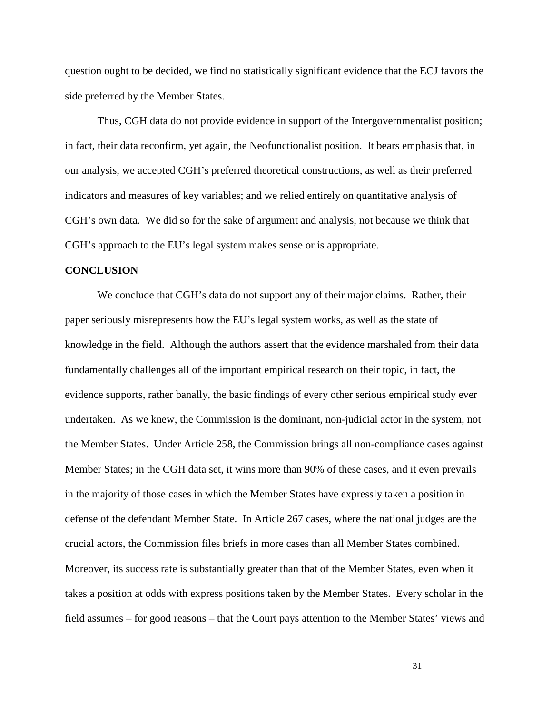question ought to be decided, we find no statistically significant evidence that the ECJ favors the side preferred by the Member States.

Thus, CGH data do not provide evidence in support of the Intergovernmentalist position; in fact, their data reconfirm, yet again, the Neofunctionalist position. It bears emphasis that, in our analysis, we accepted CGH's preferred theoretical constructions, as well as their preferred indicators and measures of key variables; and we relied entirely on quantitative analysis of CGH's own data. We did so for the sake of argument and analysis, not because we think that CGH's approach to the EU's legal system makes sense or is appropriate.

### **CONCLUSION**

We conclude that CGH's data do not support any of their major claims. Rather, their paper seriously misrepresents how the EU's legal system works, as well as the state of knowledge in the field. Although the authors assert that the evidence marshaled from their data fundamentally challenges all of the important empirical research on their topic, in fact, the evidence supports, rather banally, the basic findings of every other serious empirical study ever undertaken. As we knew, the Commission is the dominant, non-judicial actor in the system, not the Member States. Under Article 258, the Commission brings all non-compliance cases against Member States; in the CGH data set, it wins more than 90% of these cases, and it even prevails in the majority of those cases in which the Member States have expressly taken a position in defense of the defendant Member State. In Article 267 cases, where the national judges are the crucial actors, the Commission files briefs in more cases than all Member States combined. Moreover, its success rate is substantially greater than that of the Member States, even when it takes a position at odds with express positions taken by the Member States. Every scholar in the field assumes – for good reasons – that the Court pays attention to the Member States' views and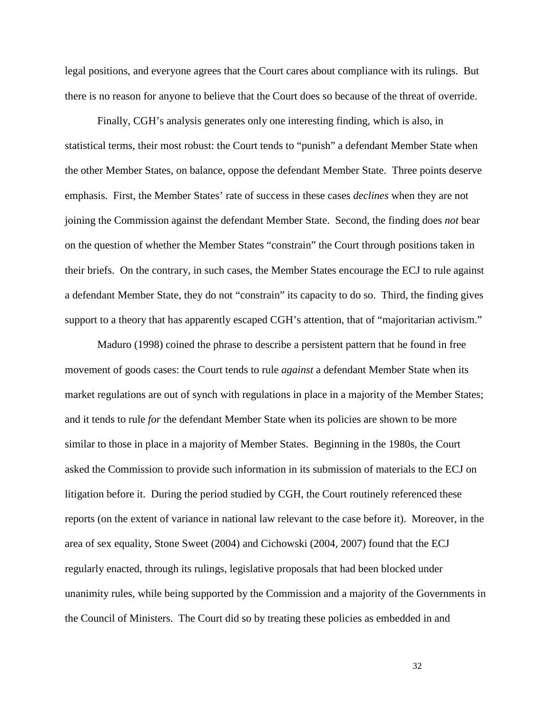legal positions, and everyone agrees that the Court cares about compliance with its rulings. But there is no reason for anyone to believe that the Court does so because of the threat of override.

Finally, CGH's analysis generates only one interesting finding, which is also, in statistical terms, their most robust: the Court tends to "punish" a defendant Member State when the other Member States, on balance, oppose the defendant Member State. Three points deserve emphasis. First, the Member States' rate of success in these cases *declines* when they are not joining the Commission against the defendant Member State. Second, the finding does *not* bear on the question of whether the Member States "constrain" the Court through positions taken in their briefs. On the contrary, in such cases, the Member States encourage the ECJ to rule against a defendant Member State, they do not "constrain" its capacity to do so. Third, the finding gives support to a theory that has apparently escaped CGH's attention, that of "majoritarian activism."

Maduro (1998) coined the phrase to describe a persistent pattern that he found in free movement of goods cases: the Court tends to rule *against* a defendant Member State when its market regulations are out of synch with regulations in place in a majority of the Member States; and it tends to rule *for* the defendant Member State when its policies are shown to be more similar to those in place in a majority of Member States. Beginning in the 1980s, the Court asked the Commission to provide such information in its submission of materials to the ECJ on litigation before it. During the period studied by CGH, the Court routinely referenced these reports (on the extent of variance in national law relevant to the case before it). Moreover, in the area of sex equality, Stone Sweet (2004) and Cichowski (2004, 2007) found that the ECJ regularly enacted, through its rulings, legislative proposals that had been blocked under unanimity rules, while being supported by the Commission and a majority of the Governments in the Council of Ministers. The Court did so by treating these policies as embedded in and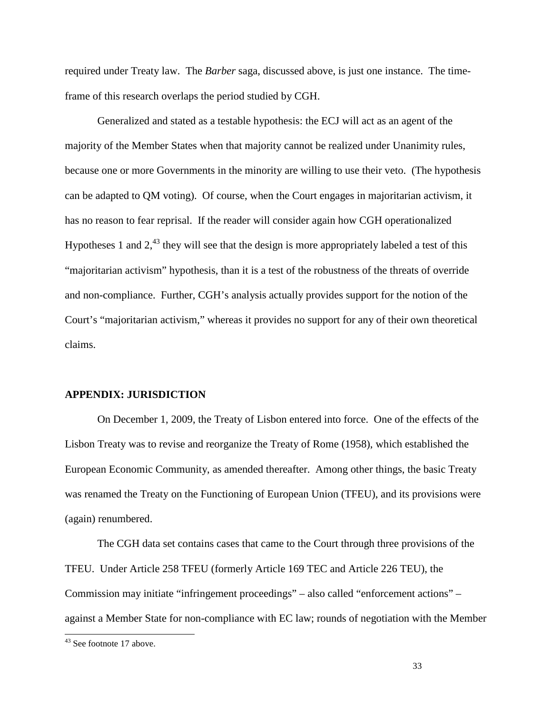required under Treaty law. The *Barber* saga, discussed above, is just one instance. The timeframe of this research overlaps the period studied by CGH.

Generalized and stated as a testable hypothesis: the ECJ will act as an agent of the majority of the Member States when that majority cannot be realized under Unanimity rules, because one or more Governments in the minority are willing to use their veto. (The hypothesis can be adapted to QM voting). Of course, when the Court engages in majoritarian activism, it has no reason to fear reprisal. If the reader will consider again how CGH operationalized Hypotheses 1 and  $2<sup>43</sup>$  they will see that the design is more appropriately labeled a test of this "majoritarian activism" hypothesis, than it is a test of the robustness of the threats of override and non-compliance. Further, CGH's analysis actually provides support for the notion of the Court's "majoritarian activism," whereas it provides no support for any of their own theoretical claims.

#### **APPENDIX: JURISDICTION**

On December 1, 2009, the Treaty of Lisbon entered into force. One of the effects of the Lisbon Treaty was to revise and reorganize the Treaty of Rome (1958), which established the European Economic Community, as amended thereafter. Among other things, the basic Treaty was renamed the Treaty on the Functioning of European Union (TFEU), and its provisions were (again) renumbered.

The CGH data set contains cases that came to the Court through three provisions of the TFEU. Under Article 258 TFEU (formerly Article 169 TEC and Article 226 TEU), the Commission may initiate "infringement proceedings" – also called "enforcement actions" – against a Member State for non-compliance with EC law; rounds of negotiation with the Member

 $43$  See footnote 17 above.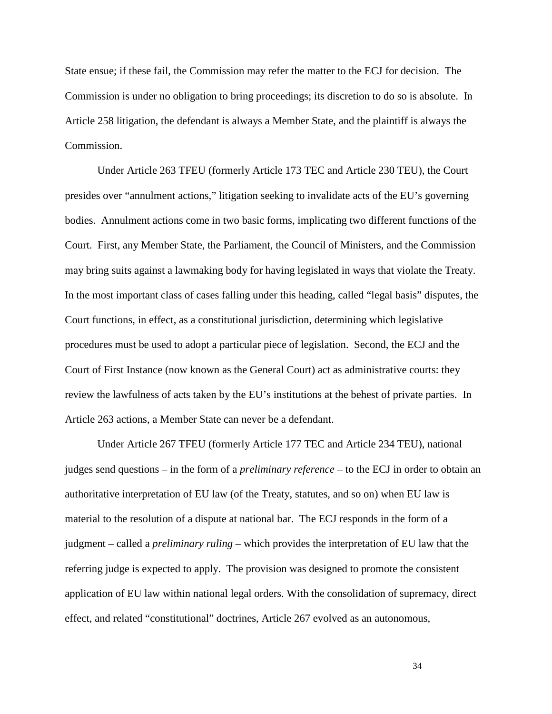State ensue; if these fail, the Commission may refer the matter to the ECJ for decision. The Commission is under no obligation to bring proceedings; its discretion to do so is absolute. In Article 258 litigation, the defendant is always a Member State, and the plaintiff is always the Commission.

Under Article 263 TFEU (formerly Article 173 TEC and Article 230 TEU), the Court presides over "annulment actions," litigation seeking to invalidate acts of the EU's governing bodies. Annulment actions come in two basic forms, implicating two different functions of the Court. First, any Member State, the Parliament, the Council of Ministers, and the Commission may bring suits against a lawmaking body for having legislated in ways that violate the Treaty. In the most important class of cases falling under this heading, called "legal basis" disputes, the Court functions, in effect, as a constitutional jurisdiction, determining which legislative procedures must be used to adopt a particular piece of legislation. Second, the ECJ and the Court of First Instance (now known as the General Court) act as administrative courts: they review the lawfulness of acts taken by the EU's institutions at the behest of private parties. In Article 263 actions, a Member State can never be a defendant.

Under Article 267 TFEU (formerly Article 177 TEC and Article 234 TEU), national judges send questions – in the form of a *preliminary reference* – to the ECJ in order to obtain an authoritative interpretation of EU law (of the Treaty, statutes, and so on) when EU law is material to the resolution of a dispute at national bar. The ECJ responds in the form of a judgment – called a *preliminary ruling* – which provides the interpretation of EU law that the referring judge is expected to apply. The provision was designed to promote the consistent application of EU law within national legal orders. With the consolidation of supremacy, direct effect, and related "constitutional" doctrines, Article 267 evolved as an autonomous,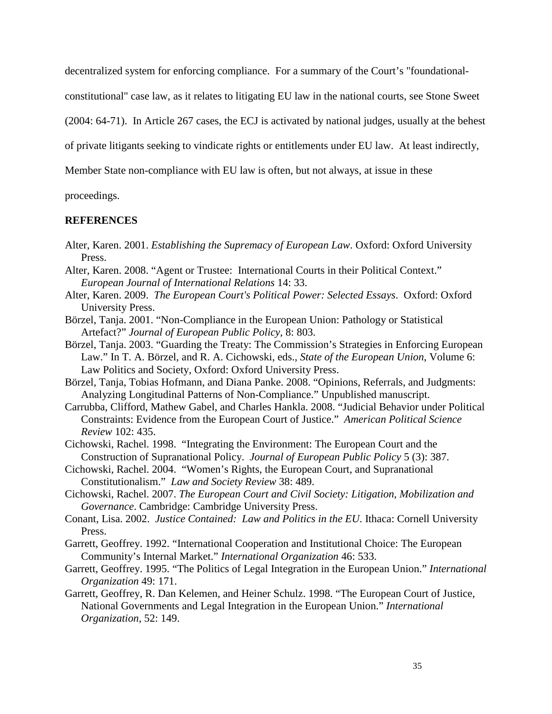decentralized system for enforcing compliance. For a summary of the Court's "foundational-

constitutional" case law, as it relates to litigating EU law in the national courts, see Stone Sweet

(2004: 64-71). In Article 267 cases, the ECJ is activated by national judges, usually at the behest

of private litigants seeking to vindicate rights or entitlements under EU law. At least indirectly,

Member State non-compliance with EU law is often, but not always, at issue in these

proceedings.

#### **REFERENCES**

- Alter, Karen. 2001. *Establishing the Supremacy of European Law*. Oxford: Oxford University Press.
- Alter, Karen. 2008. "Agent or Trustee: International Courts in their Political Context." *European Journal of International Relations* 14: 33.
- Alter, Karen. 2009. *The European Court's Political Power: Selected Essays*. Oxford: Oxford University Press.
- Börzel, Tanja. 2001. "Non-Compliance in the European Union: Pathology or Statistical Artefact?" *Journal of European Public Policy,* 8: 803.
- Börzel, Tanja. 2003. "Guarding the Treaty: The Commission's Strategies in Enforcing European Law." In T. A. Börzel, and R. A. Cichowski, eds., *State of the European Union*, Volume 6: Law Politics and Society, Oxford: Oxford University Press.
- Börzel, Tanja, Tobias Hofmann, and Diana Panke. 2008. "Opinions, Referrals, and Judgments: Analyzing Longitudinal Patterns of Non-Compliance." Unpublished manuscript.
- Carrubba, Clifford, Mathew Gabel, and Charles Hankla. 2008. "Judicial Behavior under Political Constraints: Evidence from the European Court of Justice." *American Political Science Review* 102: 435.
- Cichowski, Rachel. 1998. "Integrating the Environment: The European Court and the Construction of Supranational Policy. *Journal of European Public Policy* 5 (3): 387.
- Cichowski, Rachel. 2004. "Women's Rights, the European Court, and Supranational Constitutionalism." *Law and Society Review* 38: 489.
- Cichowski, Rachel. 2007. *The European Court and Civil Society: Litigation, Mobilization and Governance*. Cambridge: Cambridge University Press.
- Conant, Lisa. 2002. *Justice Contained: Law and Politics in the EU*. Ithaca: Cornell University Press.
- Garrett, Geoffrey. 1992. "International Cooperation and Institutional Choice: The European Community's Internal Market." *International Organization* 46: 533.
- Garrett, Geoffrey. 1995. "The Politics of Legal Integration in the European Union." *International Organization* 49: 171.
- Garrett, Geoffrey, R. Dan Kelemen, and Heiner Schulz. 1998. "The European Court of Justice, National Governments and Legal Integration in the European Union." *International Organization,* 52: 149.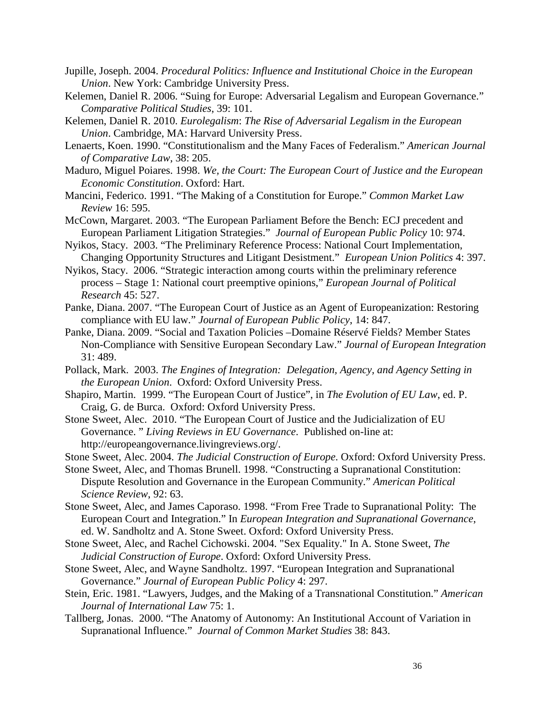- Jupille, Joseph. 2004. *Procedural Politics: Influence and Institutional Choice in the European Union*. New York: Cambridge University Press.
- Kelemen, Daniel R. 2006. "Suing for Europe: Adversarial Legalism and European Governance." *Comparative Political Studies*, 39: 101.
- Kelemen, Daniel R. 2010. *Eurolegalism*: *The Rise of Adversarial Legalism in the European Union*. Cambridge, MA: Harvard University Press.
- Lenaerts, Koen. 1990. "Constitutionalism and the Many Faces of Federalism." *American Journal of Comparative Law*, 38: 205.
- Maduro, Miguel Poiares. 1998. *We, the Court: The European Court of Justice and the European Economic Constitution*. Oxford: Hart.
- Mancini, Federico. 1991. "The Making of a Constitution for Europe." *Common Market Law Review* 16: 595.
- McCown, Margaret. 2003. "The European Parliament Before the Bench: ECJ precedent and European Parliament Litigation Strategies." *Journal of European Public Policy* 10: 974.
- Nyikos, Stacy. 2003. "The Preliminary Reference Process: National Court Implementation, Changing Opportunity Structures and Litigant Desistment." *European Union Politics* 4: 397.
- Nyikos, Stacy. 2006. "Strategic interaction among courts within the preliminary reference process – Stage 1: National court preemptive opinions," *European Journal of Political Research* 45: 527.
- Panke, Diana. 2007. "The European Court of Justice as an Agent of Europeanization: Restoring compliance with EU law." *Journal of European Public Policy*, 14: 847.
- Panke, Diana. 2009. "Social and Taxation Policies –Domaine Réservé Fields? Member States Non-Compliance with Sensitive European Secondary Law." *Journal of European Integration* 31: 489.
- Pollack, Mark. 2003. *The Engines of Integration: Delegation, Agency, and Agency Setting in the European Union*. Oxford: Oxford University Press.
- Shapiro, Martin. 1999. "The European Court of Justice", in *The Evolution of EU Law*, ed. P. Craig, G. de Burca. Oxford: Oxford University Press.
- Stone Sweet, Alec. 2010. "The European Court of Justice and the Judicialization of EU Governance. " *Living Reviews in EU Governance*. Published on-line at: http://europeangovernance.livingreviews.org/.
- Stone Sweet, Alec. 2004. *The Judicial Construction of Europe*. Oxford: Oxford University Press.
- Stone Sweet, Alec, and Thomas Brunell. 1998. "Constructing a Supranational Constitution: Dispute Resolution and Governance in the European Community." *American Political Science Review*, 92: 63.
- Stone Sweet, Alec, and James Caporaso. 1998. "From Free Trade to Supranational Polity: The European Court and Integration." In *European Integration and Supranational Governance*, ed. W. Sandholtz and A. Stone Sweet. Oxford: Oxford University Press.
- Stone Sweet, Alec, and Rachel Cichowski. 2004. "Sex Equality." In A. Stone Sweet, *The Judicial Construction of Europe*. Oxford: Oxford University Press.
- Stone Sweet, Alec, and Wayne Sandholtz. 1997. "European Integration and Supranational Governance." *Journal of European Public Policy* 4: 297.
- Stein, Eric. 1981. "Lawyers, Judges, and the Making of a Transnational Constitution." *American Journal of International Law* 75: 1.
- Tallberg, Jonas. 2000. "The Anatomy of Autonomy: An Institutional Account of Variation in Supranational Influence." *Journal of Common Market Studies* 38: 843.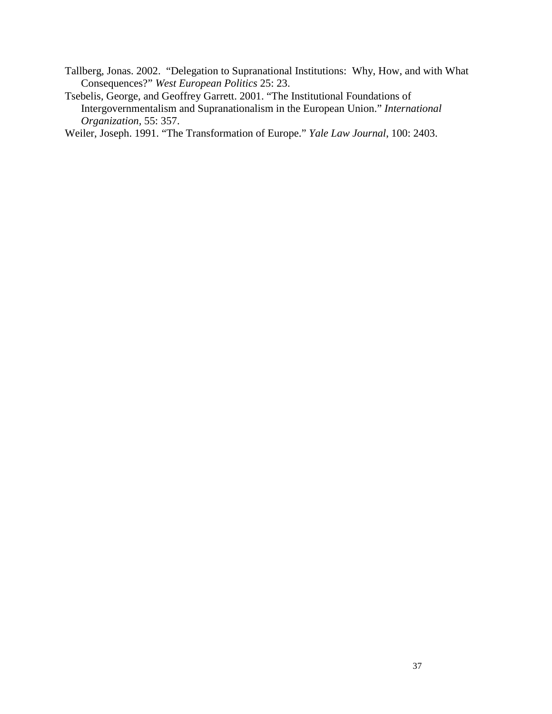Tallberg, Jonas. 2002. "Delegation to Supranational Institutions: Why, How, and with What Consequences?" *West European Politics* 25: 23.

Tsebelis, George, and Geoffrey Garrett. 2001. "The Institutional Foundations of Intergovernmentalism and Supranationalism in the European Union." *International Organization,* 55: 357.

Weiler, Joseph. 1991. "The Transformation of Europe." *Yale Law Journal*, 100: 2403.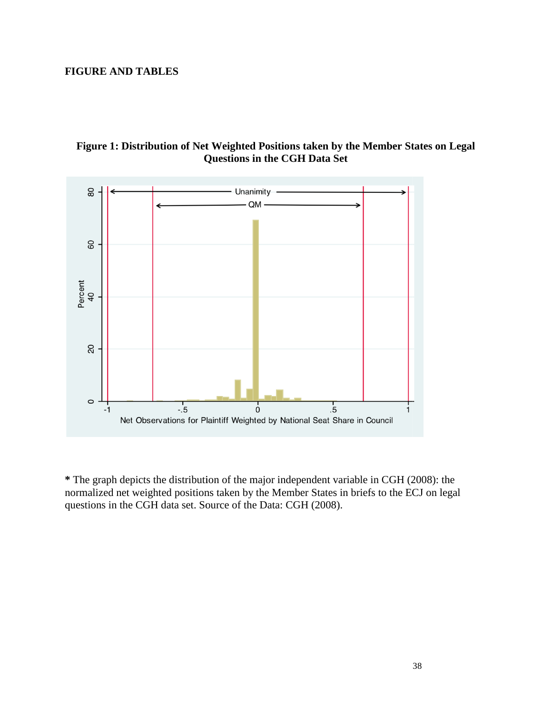# **FIGURE AND TABLES**





**\*** The graph depicts the distribution of the major independent variable in CGH (2008) (2008): the normalized net weighted positions taken by the Member States in briefs to the ECJ on legal questions in the CGH data set. Source of the Data: CGH (2008).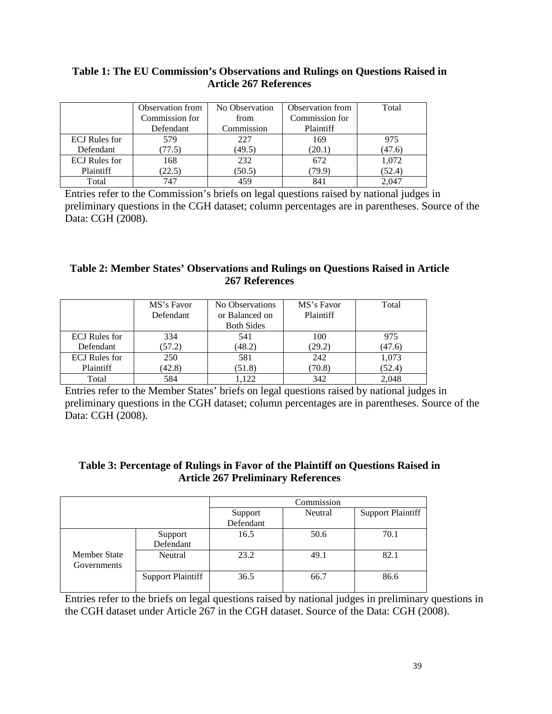# **Table 1: The EU Commission's Observations and Rulings on Questions Raised in Article 267 References**

|                      | Observation from | No Observation | Observation from | Total  |
|----------------------|------------------|----------------|------------------|--------|
|                      | Commission for   | from           | Commission for   |        |
|                      | Defendant        | Commission     | Plaintiff        |        |
| <b>ECJ</b> Rules for | 579              | 227            | 169              | 975    |
| Defendant            | (77.5)           | (49.5)         | (20.1)           | (47.6) |
| <b>ECJ</b> Rules for | 168              | 232            | 672              | 1,072  |
| Plaintiff            | (22.5)           | (50.5)         | (79.9)           | (52.4) |
| Total                | 747              | 459            | 841              | 2.047  |

Entries refer to the Commission's briefs on legal questions raised by national judges in preliminary questions in the CGH dataset; column percentages are in parentheses. Source of the Data: CGH (2008).

# **Table 2: Member States' Observations and Rulings on Questions Raised in Article 267 References**

|                      | MS's Favor | No Observations   | MS's Favor | Total  |
|----------------------|------------|-------------------|------------|--------|
|                      | Defendant  | or Balanced on    | Plaintiff  |        |
|                      |            | <b>Both Sides</b> |            |        |
| <b>ECJ</b> Rules for | 334        | 541               | 100        | 975    |
| Defendant            | (57.2)     | (48.2)            | (29.2)     | (47.6) |
| <b>ECJ</b> Rules for | 250        | 581               | 242        | 1,073  |
| Plaintiff            | (42.8)     | (51.8)            | (70.8)     | (52.4) |
| Total                | 584        | .122              | 342        | 2.048  |

Entries refer to the Member States' briefs on legal questions raised by national judges in preliminary questions in the CGH dataset; column percentages are in parentheses. Source of the Data: CGH (2008).

## **Table 3: Percentage of Rulings in Favor of the Plaintiff on Questions Raised in Article 267 Preliminary References**

|              |                          |           | Commission |                          |
|--------------|--------------------------|-----------|------------|--------------------------|
|              |                          | Support   | Neutral    | <b>Support Plaintiff</b> |
|              |                          | Defendant |            |                          |
|              | Support                  | 16.5      | 50.6       | 70.1                     |
|              | Defendant                |           |            |                          |
| Member State | Neutral                  | 23.2      | 49.1       | 82.1                     |
| Governments  |                          |           |            |                          |
|              | <b>Support Plaintiff</b> | 36.5      | 66.7       | 86.6                     |
|              |                          |           |            |                          |

Entries refer to the briefs on legal questions raised by national judges in preliminary questions in the CGH dataset under Article 267 in the CGH dataset. Source of the Data: CGH (2008).